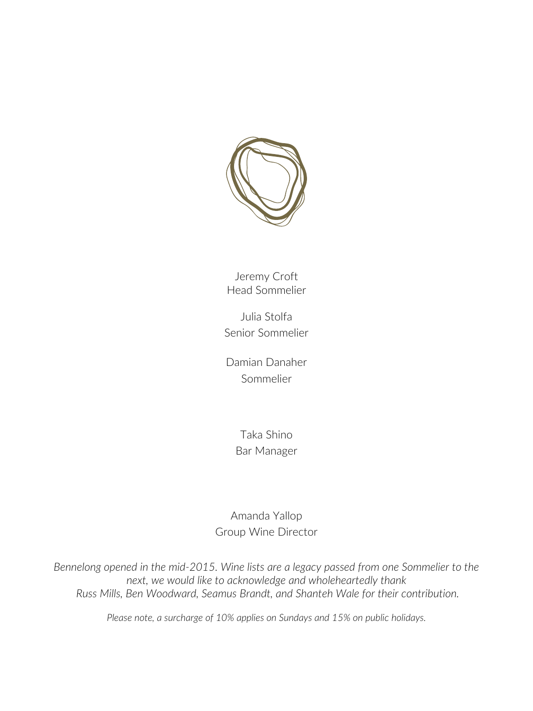

Jeremy Croft Head Sommelier

Julia Stolfa Senior Sommelier

Damian Danaher Sommelier

> Taka Shino Bar Manager

Amanda Yallop Group Wine Director

*Bennelong opened in the mid-2015. Wine lists are a legacy passed from one Sommelier to the next, we would like to acknowledge and wholeheartedly thank Russ Mills, Ben Woodward, Seamus Brandt, and Shanteh Wale for their contribution.*

*Please note, a surcharge of 10% applies on Sundays and 15% on public holidays.*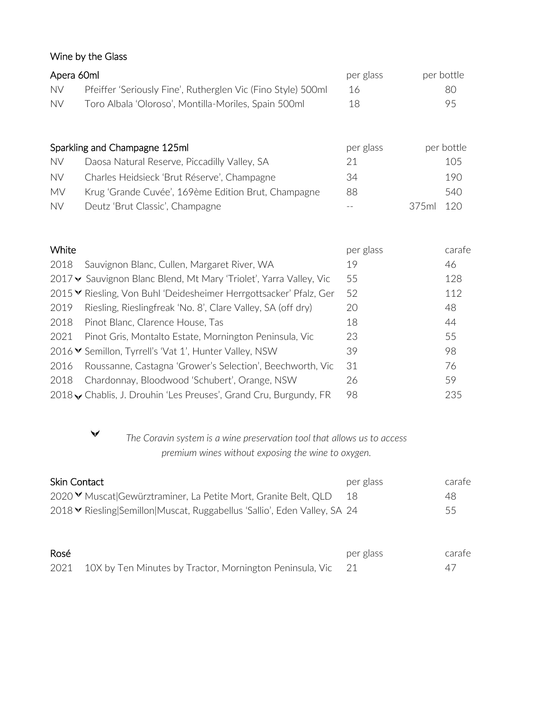# Wine by the Glass

| Apera 60ml |                                                              | per glass | per bottle |
|------------|--------------------------------------------------------------|-----------|------------|
| <b>NV</b>  | Pfeiffer 'Seriously Fine', Rutherglen Vic (Fino Style) 500ml | 16        | 80         |
| <b>NV</b>  | Toro Albala 'Oloroso', Montilla-Moriles, Spain 500ml         | 18        | 95         |
|            |                                                              |           |            |
|            | Sparkling and Champagne 125ml                                | ner glacc | ner hottle |

| Sparkling and Champagne IZSMI |                                                     | per giass | per pottle |
|-------------------------------|-----------------------------------------------------|-----------|------------|
| <b>NV</b>                     | Daosa Natural Reserve, Piccadilly Valley, SA        | 21        | 105        |
| <b>NV</b>                     | Charles Heidsieck 'Brut Réserve', Champagne         | 34        | 190        |
| MV                            | Krug 'Grande Cuvée', 169ème Edition Brut, Champagne | 88        | 540        |
| <b>NV</b>                     | Deutz 'Brut Classic', Champagne                     | $- -$     | 375ml 120  |

| per glass                                                                                                                                                                                                                                                                                                                                                                                                                                                                                                                                                                                                | carafe |
|----------------------------------------------------------------------------------------------------------------------------------------------------------------------------------------------------------------------------------------------------------------------------------------------------------------------------------------------------------------------------------------------------------------------------------------------------------------------------------------------------------------------------------------------------------------------------------------------------------|--------|
| 19                                                                                                                                                                                                                                                                                                                                                                                                                                                                                                                                                                                                       | 46     |
| 55                                                                                                                                                                                                                                                                                                                                                                                                                                                                                                                                                                                                       | 128    |
| 52                                                                                                                                                                                                                                                                                                                                                                                                                                                                                                                                                                                                       | 112    |
| 20                                                                                                                                                                                                                                                                                                                                                                                                                                                                                                                                                                                                       | 48     |
| 18                                                                                                                                                                                                                                                                                                                                                                                                                                                                                                                                                                                                       | 44     |
| 23                                                                                                                                                                                                                                                                                                                                                                                                                                                                                                                                                                                                       | 55     |
| 39                                                                                                                                                                                                                                                                                                                                                                                                                                                                                                                                                                                                       | 98     |
| 31                                                                                                                                                                                                                                                                                                                                                                                                                                                                                                                                                                                                       | 76     |
| 26                                                                                                                                                                                                                                                                                                                                                                                                                                                                                                                                                                                                       | 59     |
| 98                                                                                                                                                                                                                                                                                                                                                                                                                                                                                                                                                                                                       | 235    |
| Sauvignon Blanc, Cullen, Margaret River, WA<br>2017 V Sauvignon Blanc Blend, Mt Mary 'Triolet', Yarra Valley, Vic<br>2015 V Riesling, Von Buhl 'Deidesheimer Herrgottsacker' Pfalz, Ger<br>Riesling, Rieslingfreak 'No. 8', Clare Valley, SA (off dry)<br>Pinot Blanc, Clarence House, Tas<br>Pinot Gris, Montalto Estate, Mornington Peninsula, Vic<br>2016 V Semillon, Tyrrell's 'Vat 1', Hunter Valley, NSW<br>Roussanne, Castagna 'Grower's Selection', Beechworth, Vic<br>Chardonnay, Bloodwood 'Schubert', Orange, NSW<br>2018 <b>v</b> Chablis, J. Drouhin 'Les Preuses', Grand Cru, Burgundy, FR |        |

 $\checkmark$ 

*The Coravin system is a wine preservation tool that allows us to access premium wines without exposing the wine to oxygen.*

| <b>Skin Contact</b>                                                       | per glass | carafe |
|---------------------------------------------------------------------------|-----------|--------|
| 2020 V Muscat Gewürztraminer, La Petite Mort, Granite Belt, QLD           | -18       | 48     |
| 2018 V Riesling Semillon Muscat, Ruggabellus 'Sallio', Eden Valley, SA 24 |           | 55     |

| Rosé |                                                                  | per glass | carafe |
|------|------------------------------------------------------------------|-----------|--------|
|      | 2021 10X by Ten Minutes by Tractor, Mornington Peninsula, Vic 21 |           |        |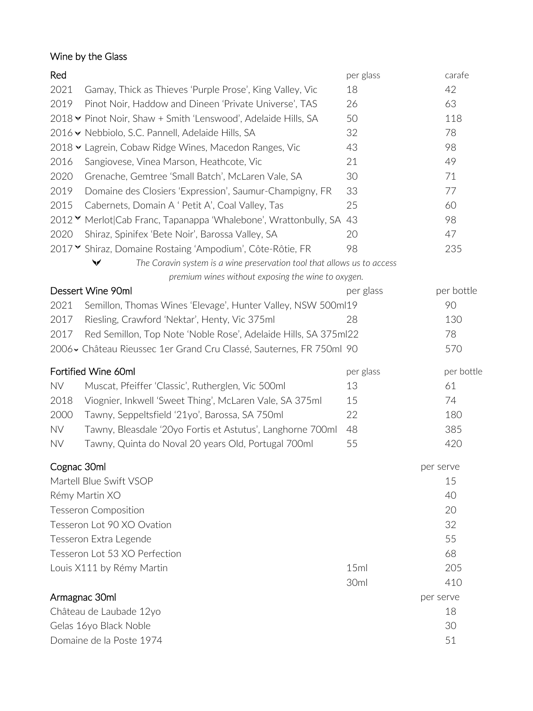# Wine by the Glass

| Red         |                                                                                         | per glass | carafe     |
|-------------|-----------------------------------------------------------------------------------------|-----------|------------|
| 2021        | Gamay, Thick as Thieves 'Purple Prose', King Valley, Vic                                | 18        | 42         |
| 2019        | Pinot Noir, Haddow and Dineen 'Private Universe', TAS                                   | 26        | 63         |
|             | 2018 V Pinot Noir, Shaw + Smith 'Lenswood', Adelaide Hills, SA                          | 50        | 118        |
|             | 2016 V Nebbiolo, S.C. Pannell, Adelaide Hills, SA                                       | 32        | 78         |
|             | 2018 V Lagrein, Cobaw Ridge Wines, Macedon Ranges, Vic                                  | 43        | 98         |
| 2016        | Sangiovese, Vinea Marson, Heathcote, Vic                                                | 21        | 49         |
| 2020        | Grenache, Gemtree 'Small Batch', McLaren Vale, SA                                       | 30        | 71         |
| 2019        | Domaine des Closiers 'Expression', Saumur-Champigny, FR                                 | 33        | 77         |
| 2015        | Cabernets, Domain A ' Petit A', Coal Valley, Tas                                        | 25        | 60         |
|             | 2012 V Merlot Cab Franc, Tapanappa 'Whalebone', Wrattonbully, SA                        | 43        | 98         |
| 2020        | Shiraz, Spinifex 'Bete Noir', Barossa Valley, SA                                        | 20        | 47         |
|             | 2017 Y Shiraz, Domaine Rostaing 'Ampodium', Côte-Rôtie, FR                              | 98        | 235        |
|             | The Coravin system is a wine preservation tool that allows us to access<br>$\checkmark$ |           |            |
|             | premium wines without exposing the wine to oxygen.                                      |           |            |
|             | Dessert Wine 90ml                                                                       | per glass | per bottle |
| 2021        | Semillon, Thomas Wines 'Elevage', Hunter Valley, NSW 500ml19                            |           | 90         |
| 2017        | Riesling, Crawford 'Nektar', Henty, Vic 375ml                                           | 28        | 130        |
| 2017        | Red Semillon, Top Note 'Noble Rose', Adelaide Hills, SA 375ml22                         |           | 78         |
|             | 2006 v Château Rieussec 1er Grand Cru Classé, Sauternes, FR 750ml 90                    |           | 570        |
|             | Fortified Wine 60ml                                                                     | per glass | per bottle |
| <b>NV</b>   | Muscat, Pfeiffer 'Classic', Rutherglen, Vic 500ml                                       | 13        | 61         |
| 2018        | Viognier, Inkwell 'Sweet Thing', McLaren Vale, SA 375ml                                 | 15        | 74         |
| 2000        | Tawny, Seppeltsfield '21yo', Barossa, SA 750ml                                          | 22        | 180        |
| NV          | Tawny, Bleasdale '20yo Fortis et Astutus', Langhorne 700ml                              | 48        | 385        |
| <b>NV</b>   | Tawny, Quinta do Noval 20 years Old, Portugal 700ml                                     | 55        | 420        |
| Cognac 30ml |                                                                                         |           | per serve  |
|             | Martell Blue Swift VSOP                                                                 |           | 15         |
|             | Rémy Martin XO                                                                          |           | 40         |
|             | <b>Tesseron Composition</b>                                                             |           | 20         |
|             | Tesseron Lot 90 XO Ovation                                                              |           | 32         |
|             | Tesseron Extra Legende                                                                  |           | 55         |
|             | Tesseron Lot 53 XO Perfection                                                           |           | 68         |
|             | Louis X111 by Rémy Martin                                                               | 15ml      | 205        |
|             |                                                                                         | 30ml      | 410        |
|             | Armagnac 30ml                                                                           |           | per serve  |
|             | Château de Laubade 12yo                                                                 |           | 18         |
|             | Gelas 16yo Black Noble                                                                  |           | 30         |
|             | Domaine de la Poste 1974                                                                |           | 51         |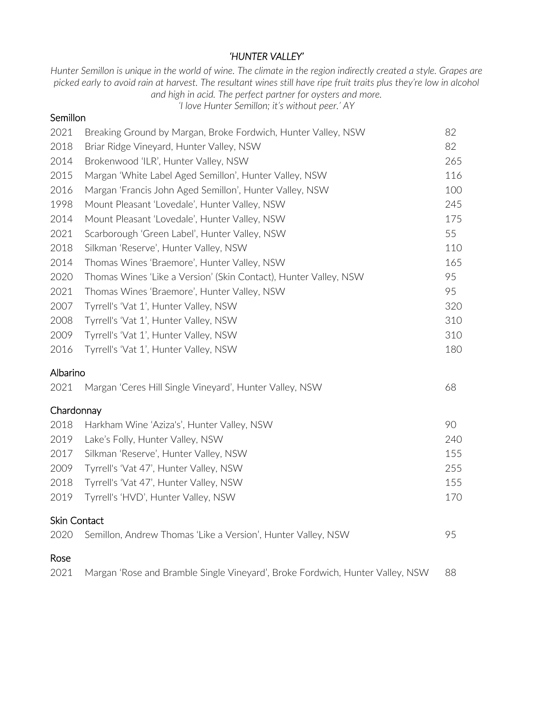## *'HUNTER VALLEY'*

*Hunter Semillon is unique in the world of wine. The climate in the region indirectly created a style. Grapes are picked early to avoid rain at harvest. The resultant wines still have ripe fruit traits plus they're low in alcohol and high in acid. The perfect partner for oysters and more.* 

*'I love Hunter Semillon; it's without peer.' AY*

## **Semillon**

| 2021         | Breaking Ground by Margan, Broke Fordwich, Hunter Valley, NSW                 | 82  |
|--------------|-------------------------------------------------------------------------------|-----|
| 2018         | Briar Ridge Vineyard, Hunter Valley, NSW                                      | 82  |
| 2014         | Brokenwood 'ILR', Hunter Valley, NSW                                          | 265 |
| 2015         | Margan 'White Label Aged Semillon', Hunter Valley, NSW                        | 116 |
| 2016         | Margan 'Francis John Aged Semillon', Hunter Valley, NSW                       | 100 |
| 1998         | Mount Pleasant 'Lovedale', Hunter Valley, NSW                                 | 245 |
| 2014         | Mount Pleasant 'Lovedale', Hunter Valley, NSW                                 | 175 |
| 2021         | Scarborough 'Green Label', Hunter Valley, NSW                                 | 55  |
| 2018         | Silkman 'Reserve', Hunter Valley, NSW                                         | 110 |
| 2014         | Thomas Wines 'Braemore', Hunter Valley, NSW                                   | 165 |
| 2020         | Thomas Wines 'Like a Version' (Skin Contact), Hunter Valley, NSW              | 95  |
| 2021         | Thomas Wines 'Braemore', Hunter Valley, NSW                                   | 95  |
| 2007         | Tyrrell's 'Vat 1', Hunter Valley, NSW                                         | 320 |
| 2008         | Tyrrell's 'Vat 1', Hunter Valley, NSW                                         | 310 |
| 2009         | Tyrrell's 'Vat 1', Hunter Valley, NSW                                         | 310 |
| 2016         | Tyrrell's 'Vat 1', Hunter Valley, NSW                                         | 180 |
| Albarino     |                                                                               |     |
| 2021         | Margan 'Ceres Hill Single Vineyard', Hunter Valley, NSW                       | 68  |
| Chardonnay   |                                                                               |     |
| 2018         | Harkham Wine 'Aziza's', Hunter Valley, NSW                                    | 90  |
| 2019         | Lake's Folly, Hunter Valley, NSW                                              | 240 |
| 2017         | Silkman 'Reserve', Hunter Valley, NSW                                         | 155 |
| 2009         | Tyrrell's 'Vat 47', Hunter Valley, NSW                                        | 255 |
| 2018         | Tyrrell's 'Vat 47', Hunter Valley, NSW                                        | 155 |
| 2019         | Tyrrell's 'HVD', Hunter Valley, NSW                                           | 170 |
| Skin Contact |                                                                               |     |
| 2020         | Semillon, Andrew Thomas 'Like a Version', Hunter Valley, NSW                  | 95  |
| Rose         |                                                                               |     |
| 2021         | Margan 'Rose and Bramble Single Vineyard', Broke Fordwich, Hunter Valley, NSW | 88  |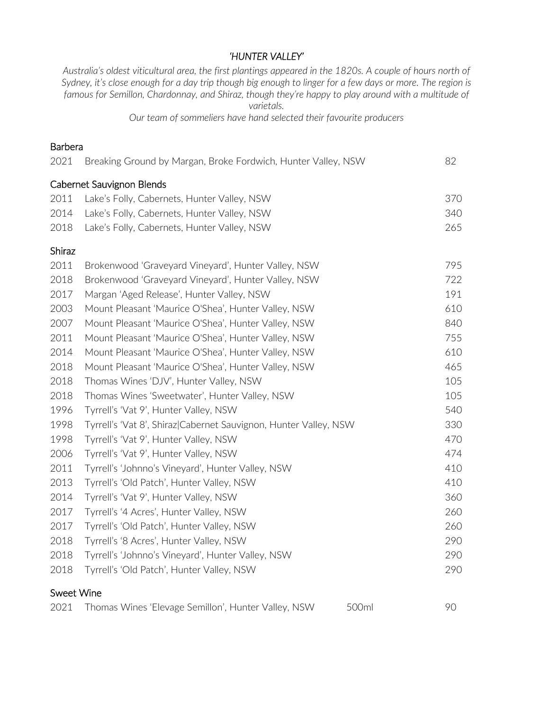## *'HUNTER VALLEY'*

*Australia's oldest viticultural area, the first plantings appeared in the 1820s. A couple of hours north of Sydney, it's close enough for a day trip though big enough to linger for a few days or more. The region is famous for Semillon, Chardonnay, and Shiraz, though they're happy to play around with a multitude of varietals.* 

*Our team of sommeliers have hand selected their favourite producers*

### Barbera

| 2021       | Breaking Ground by Margan, Broke Fordwich, Hunter Valley, NSW    | 82  |
|------------|------------------------------------------------------------------|-----|
|            | Cabernet Sauvignon Blends                                        |     |
| 2011       | Lake's Folly, Cabernets, Hunter Valley, NSW                      | 370 |
| 2014       | Lake's Folly, Cabernets, Hunter Valley, NSW                      | 340 |
| 2018       | Lake's Folly, Cabernets, Hunter Valley, NSW                      | 265 |
| Shiraz     |                                                                  |     |
| 2011       | Brokenwood 'Graveyard Vineyard', Hunter Valley, NSW              | 795 |
| 2018       | Brokenwood 'Graveyard Vineyard', Hunter Valley, NSW              | 722 |
| 2017       | Margan 'Aged Release', Hunter Valley, NSW                        | 191 |
| 2003       | Mount Pleasant 'Maurice O'Shea', Hunter Valley, NSW              | 610 |
| 2007       | Mount Pleasant 'Maurice O'Shea', Hunter Valley, NSW              | 840 |
| 2011       | Mount Pleasant 'Maurice O'Shea', Hunter Valley, NSW              | 755 |
| 2014       | Mount Pleasant 'Maurice O'Shea', Hunter Valley, NSW              | 610 |
| 2018       | Mount Pleasant 'Maurice O'Shea', Hunter Valley, NSW              | 465 |
| 2018       | Thomas Wines 'DJV', Hunter Valley, NSW                           | 105 |
| 2018       | Thomas Wines 'Sweetwater', Hunter Valley, NSW                    | 105 |
| 1996       | Tyrrell's 'Vat 9', Hunter Valley, NSW                            | 540 |
| 1998       | Tyrrell's 'Vat 8', Shiraz Cabernet Sauvignon, Hunter Valley, NSW | 330 |
| 1998       | Tyrrell's 'Vat 9', Hunter Valley, NSW                            | 470 |
| 2006       | Tyrrell's 'Vat 9', Hunter Valley, NSW                            | 474 |
| 2011       | Tyrrell's 'Johnno's Vineyard', Hunter Valley, NSW                | 410 |
| 2013       | Tyrrell's 'Old Patch', Hunter Valley, NSW                        | 410 |
| 2014       | Tyrrell's 'Vat 9', Hunter Valley, NSW                            | 360 |
| 2017       | Tyrrell's '4 Acres', Hunter Valley, NSW                          | 260 |
| 2017       | Tyrrell's 'Old Patch', Hunter Valley, NSW                        | 260 |
| 2018       | Tyrrell's '8 Acres', Hunter Valley, NSW                          | 290 |
| 2018       | Tyrrell's 'Johnno's Vineyard', Hunter Valley, NSW                | 290 |
| 2018       | Tyrrell's 'Old Patch', Hunter Valley, NSW                        | 290 |
| Sweet Wine |                                                                  |     |
| 2021       | Thomas Wines 'Elevage Semillon', Hunter Valley, NSW<br>500ml     | 90  |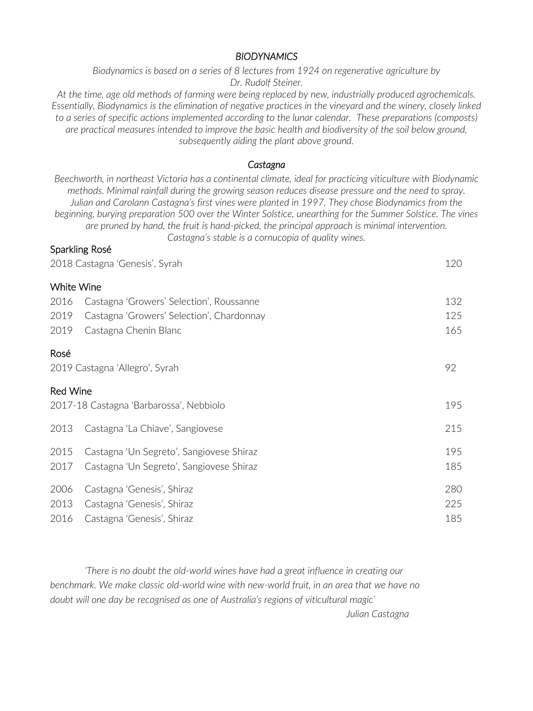## *BIODYNAMICS*

*Biodynamics is based on a series of 8 lectures from 1924 on regenerative agriculture by Dr. Rudolf Steiner.*

*At the time, age old methods of farming were being replaced by new, industrially produced agrochemicals. Essentially, Biodynamics is the elimination of negative practices in the vineyard and the winery, closely linked to a series of specific actions implemented according to the lunar calendar. These preparations (composts) are practical measures intended to improve the basic health and biodiversity of the soil below ground, subsequently aiding the plant above ground.* 

### *Castagna*

*Beechworth, in northeast Victoria has a continental climate, ideal for practicing viticulture with Biodynamic methods. Minimal rainfall during the growing season reduces disease pressure and the need to spray. Julian and Carolann Castagna's first vines were planted in 1997. They chose Biodynamics from the beginning, burying preparation 500 over the Winter Solstice, unearthing for the Summer Solstice. The vines are pruned by hand, the fruit is hand-picked, the principal approach is minimal intervention. Castagna's stable is a cornucopia of quality wines.* 

### Sparkling Rosé

| 2018 Castagna 'Genesis', Syrah |                                           | 120 |
|--------------------------------|-------------------------------------------|-----|
|                                | White Wine                                |     |
| 2016                           | Castagna 'Growers' Selection', Roussanne  | 132 |
| 2019                           | Castagna 'Growers' Selection', Chardonnay | 125 |
| 2019                           | Castagna Chenin Blanc                     | 165 |
| Rosé                           |                                           |     |
|                                | 2019 Castagna 'Allegro', Syrah            | 92  |
| <b>Red Wine</b>                |                                           |     |
|                                | 2017-18 Castagna 'Barbarossa', Nebbiolo   | 195 |
| 2013                           | Castagna 'La Chiave', Sangiovese          | 215 |
| 2015                           | Castagna 'Un Segreto', Sangiovese Shiraz  | 195 |
| 2017                           | Castagna 'Un Segreto', Sangiovese Shiraz  | 185 |
| 2006                           | Castagna 'Genesis', Shiraz                | 280 |
| 2013                           | Castagna 'Genesis', Shiraz                | 225 |
| 2016                           | Castagna 'Genesis', Shiraz                | 185 |

*'There is no doubt the old-world wines have had a great influence in creating our benchmark. We make classic old-world wine with new-world fruit, in an area that we have no doubt will one day be recognised as one of Australia's regions of viticultural magic'*

*Julian Castagna*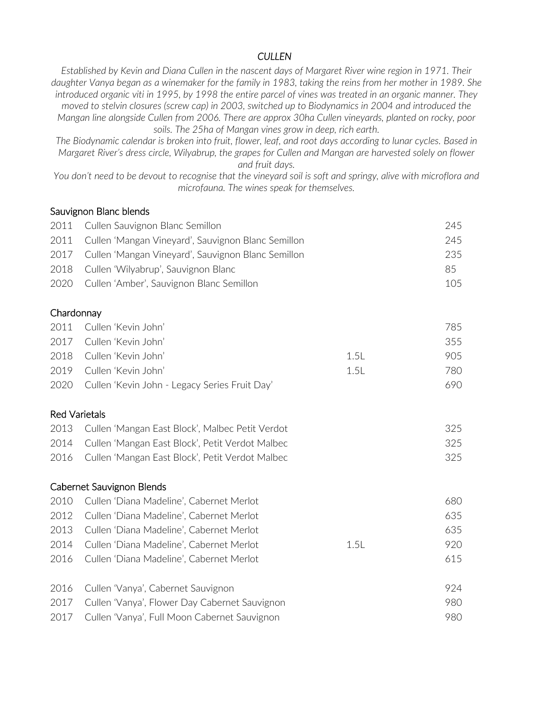## *CULLEN*

*Established by Kevin and Diana Cullen in the nascent days of Margaret River wine region in 1971. Their daughter Vanya began as a winemaker for the family in 1983, taking the reins from her mother in 1989. She introduced organic viti in 1995, by 1998 the entire parcel of vines was treated in an organic manner. They moved to stelvin closures (screw cap) in 2003, switched up to Biodynamics in 2004 and introduced the Mangan line alongside Cullen from 2006. There are approx 30ha Cullen vineyards, planted on rocky, poor soils. The 25ha of Mangan vines grow in deep, rich earth.*

*The Biodynamic calendar is broken into fruit, flower, leaf, and root days according to lunar cycles. Based in Margaret River's dress circle, Wilyabrup, the grapes for Cullen and Mangan are harvested solely on flower and fruit days.* 

*You don't need to be devout to recognise that the vineyard soil is soft and springy, alive with microflora and microfauna. The wines speak for themselves.* 

### Sauvignon Blanc blends

| 2011 Cullen Sauvignon Blanc Semillon                    | 245. |
|---------------------------------------------------------|------|
| 2011 Cullen 'Mangan Vineyard', Sauvignon Blanc Semillon | 245  |
| 2017 Cullen 'Mangan Vineyard', Sauvignon Blanc Semillon | 235  |
| 2018 Cullen 'Wilyabrup', Sauvignon Blanc                | 85   |
| 2020 Cullen 'Amber', Sauvignon Blanc Semillon           | 105  |
|                                                         |      |

### Chardonnay

| 2011 Cullen 'Kevin John'                           |      | 785. |
|----------------------------------------------------|------|------|
| 2017 Cullen 'Kevin John'                           |      | 355  |
| 2018 Cullen 'Kevin John'                           | 1.51 | 905. |
| 2019 Cullen 'Kevin John'                           | 1.51 | 780. |
| 2020 Cullen 'Kevin John - Legacy Series Fruit Day' |      | 690- |

### Red Varietals

| 2013 Cullen 'Mangan East Block', Malbec Petit Verdot | 325 |
|------------------------------------------------------|-----|
| 2014 Cullen 'Mangan East Block', Petit Verdot Malbec | 325 |
| 2016 Cullen 'Mangan East Block', Petit Verdot Malbec | 325 |

|      | Cabernet Sauvignon Blends                     |      |     |
|------|-----------------------------------------------|------|-----|
| 2010 | Cullen 'Diana Madeline', Cabernet Merlot      |      | 680 |
| 2012 | Cullen 'Diana Madeline', Cabernet Merlot      |      | 635 |
| 2013 | Cullen 'Diana Madeline', Cabernet Merlot      |      | 635 |
| 2014 | Cullen 'Diana Madeline', Cabernet Merlot      | 1.5L | 920 |
| 2016 | Cullen 'Diana Madeline', Cabernet Merlot      |      | 615 |
|      |                                               |      |     |
| 2016 | Cullen 'Vanya', Cabernet Sauvignon            |      | 924 |
| 2017 | Cullen 'Vanya', Flower Day Cabernet Sauvignon |      | 980 |
| 2017 | Cullen 'Vanya', Full Moon Cabernet Sauvignon  |      | 980 |
|      |                                               |      |     |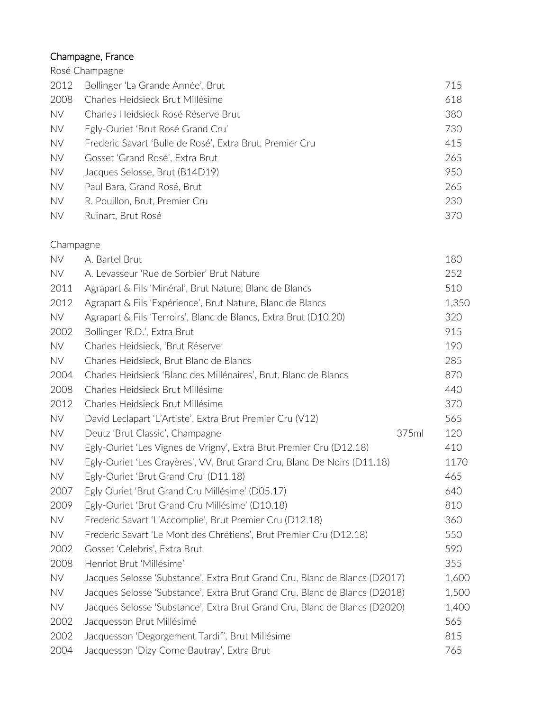# Champagne, France

|           | Rosé Champagne                                           |     |
|-----------|----------------------------------------------------------|-----|
| 2012      | Bollinger 'La Grande Année', Brut                        | 715 |
| 2008      | Charles Heidsieck Brut Millésime                         | 618 |
| <b>NV</b> | Charles Heidsieck Rosé Réserve Brut                      | 380 |
| <b>NV</b> | Egly-Ouriet 'Brut Rosé Grand Cru'                        | 730 |
| <b>NV</b> | Frederic Savart 'Bulle de Rosé', Extra Brut, Premier Cru | 415 |
| NV        | Gosset 'Grand Rosé', Extra Brut                          | 265 |
| <b>NV</b> | Jacques Selosse, Brut (B14D19)                           | 950 |
| <b>NV</b> | Paul Bara, Grand Rosé, Brut                              | 265 |
| <b>NV</b> | R. Pouillon, Brut, Premier Cru                           | 230 |
| <b>NV</b> | Ruinart, Brut Rosé                                       | 370 |

## Champagne

| <b>NV</b> | A. Bartel Brut                                                             | 180   |
|-----------|----------------------------------------------------------------------------|-------|
| <b>NV</b> | A. Levasseur 'Rue de Sorbier' Brut Nature                                  | 252   |
| 2011      | Agrapart & Fils 'Minéral', Brut Nature, Blanc de Blancs                    | 510   |
| 2012      | Agrapart & Fils 'Expérience', Brut Nature, Blanc de Blancs                 | 1,350 |
| <b>NV</b> | Agrapart & Fils 'Terroirs', Blanc de Blancs, Extra Brut (D10.20)           | 320   |
| 2002      | Bollinger 'R.D.', Extra Brut                                               | 915   |
| <b>NV</b> | Charles Heidsieck, 'Brut Réserve'                                          | 190   |
| <b>NV</b> | Charles Heidsieck, Brut Blanc de Blancs                                    | 285   |
| 2004      | Charles Heidsieck 'Blanc des Millénaires', Brut, Blanc de Blancs           | 870   |
| 2008      | Charles Heidsieck Brut Millésime                                           | 440   |
| 2012      | Charles Heidsieck Brut Millésime                                           | 370   |
| <b>NV</b> | David Leclapart 'L'Artiste', Extra Brut Premier Cru (V12)                  | 565   |
| NV        | Deutz 'Brut Classic', Champagne<br>375ml                                   | 120   |
| <b>NV</b> | Egly-Ouriet 'Les Vignes de Vrigny', Extra Brut Premier Cru (D12.18)        | 410   |
| NV.       | Egly-Ouriet 'Les Crayères', VV, Brut Grand Cru, Blanc De Noirs (D11.18)    | 1170  |
| <b>NV</b> | Egly-Ouriet 'Brut Grand Cru' (D11.18)                                      | 465   |
| 2007      | Egly Ouriet 'Brut Grand Cru Millésime' (D05.17)                            | 640   |
| 2009      | Egly-Ouriet 'Brut Grand Cru Millésime' (D10.18)                            | 810   |
| <b>NV</b> | Frederic Savart 'L'Accomplie', Brut Premier Cru (D12.18)                   | 360   |
| NV        | Frederic Savart 'Le Mont des Chrétiens', Brut Premier Cru (D12.18)         | 550   |
| 2002      | Gosset 'Celebris', Extra Brut                                              | 590   |
| 2008      | Henriot Brut 'Millésime'                                                   | 355   |
| <b>NV</b> | Jacques Selosse 'Substance', Extra Brut Grand Cru, Blanc de Blancs (D2017) | 1,600 |
| NV        | Jacques Selosse 'Substance', Extra Brut Grand Cru, Blanc de Blancs (D2018) | 1,500 |
| <b>NV</b> | Jacques Selosse 'Substance', Extra Brut Grand Cru, Blanc de Blancs (D2020) | 1,400 |
| 2002      | Jacquesson Brut Millésimé                                                  | 565   |
| 2002      | Jacquesson 'Degorgement Tardif', Brut Millésime                            | 815   |
| 2004      | Jacquesson 'Dizy Corne Bautray', Extra Brut                                | 765   |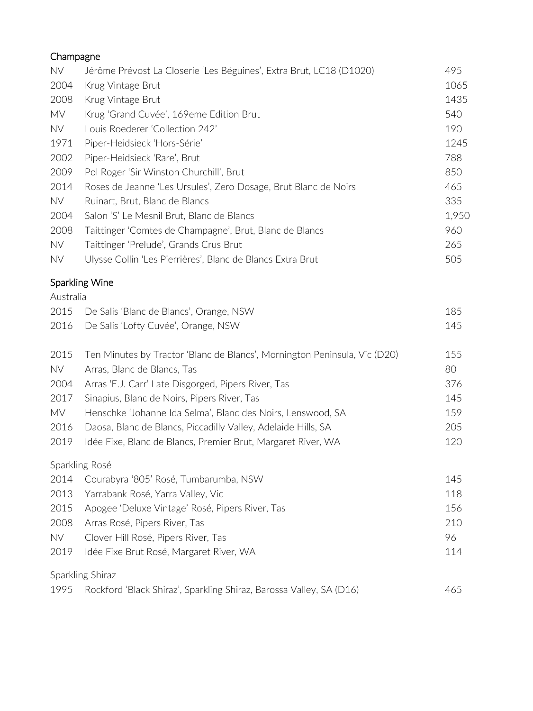| Champagne |                                                                           |       |
|-----------|---------------------------------------------------------------------------|-------|
| NV        | Jérôme Prévost La Closerie 'Les Béguines', Extra Brut, LC18 (D1020)       | 495   |
| 2004      | Krug Vintage Brut                                                         | 1065  |
| 2008      | Krug Vintage Brut                                                         | 1435  |
| MV        | Krug 'Grand Cuvée', 169eme Edition Brut                                   | 540   |
| NV.       | Louis Roederer 'Collection 242'                                           | 190   |
| 1971      | Piper-Heidsieck 'Hors-Série'                                              | 1245  |
| 2002      | Piper-Heidsieck 'Rare', Brut                                              | 788   |
| 2009      | Pol Roger 'Sir Winston Churchill', Brut                                   | 850   |
| 2014      | Roses de Jeanne 'Les Ursules', Zero Dosage, Brut Blanc de Noirs           | 465   |
| <b>NV</b> | Ruinart, Brut, Blanc de Blancs                                            | 335   |
| 2004      | Salon 'S' Le Mesnil Brut, Blanc de Blancs                                 | 1,950 |
| 2008      | Taittinger 'Comtes de Champagne', Brut, Blanc de Blancs                   | 960   |
| NV        | Taittinger 'Prelude', Grands Crus Brut                                    | 265   |
| NV        | Ulysse Collin 'Les Pierrières', Blanc de Blancs Extra Brut                | 505   |
|           | <b>Sparkling Wine</b>                                                     |       |
| Australia |                                                                           |       |
| 2015      | De Salis 'Blanc de Blancs', Orange, NSW                                   | 185   |
| 2016      | De Salis 'Lofty Cuvée', Orange, NSW                                       | 145   |
| 2015      | Ten Minutes by Tractor 'Blanc de Blancs', Mornington Peninsula, Vic (D20) | 155   |
| NV        | Arras, Blanc de Blancs, Tas                                               | 80    |
| 2004      | Arras 'E.J. Carr' Late Disgorged, Pipers River, Tas                       | 376   |
| 2017      | Sinapius, Blanc de Noirs, Pipers River, Tas                               | 145   |
| MV        | Henschke 'Johanne Ida Selma', Blanc des Noirs, Lenswood, SA               | 159   |
| 2016      | Daosa, Blanc de Blancs, Piccadilly Valley, Adelaide Hills, SA             | 205   |
| 2019      | Idée Fixe, Blanc de Blancs, Premier Brut, Margaret River, WA              | 120   |
|           | Sparkling Rosé                                                            |       |
| 2014      | Courabyra '805' Rosé, Tumbarumba, NSW                                     | 145   |
| 2013      | Yarrabank Rosé, Yarra Valley, Vic                                         | 118   |
| 2015      | Apogee 'Deluxe Vintage' Rosé, Pipers River, Tas                           | 156   |
| 2008      | Arras Rosé, Pipers River, Tas                                             | 210   |
| NV.       | Clover Hill Rosé, Pipers River, Tas                                       | 96    |
| 2019      | Idée Fixe Brut Rosé, Margaret River, WA                                   | 114   |
|           | Sparkling Shiraz                                                          |       |
| 1995      | Rockford 'Black Shiraz', Sparkling Shiraz, Barossa Valley, SA (D16)       | 465   |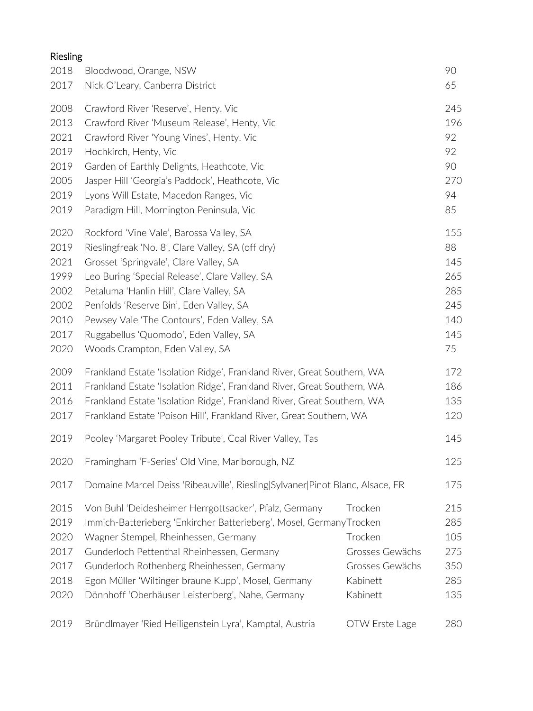# Riesling

| 2018 | Bloodwood, Orange, NSW                                                        |                 | 90  |
|------|-------------------------------------------------------------------------------|-----------------|-----|
| 2017 | Nick O'Leary, Canberra District                                               |                 | 65  |
| 2008 | Crawford River 'Reserve', Henty, Vic                                          |                 | 245 |
| 2013 | Crawford River 'Museum Release', Henty, Vic                                   |                 | 196 |
| 2021 | Crawford River 'Young Vines', Henty, Vic                                      |                 | 92  |
| 2019 | Hochkirch, Henty, Vic                                                         |                 | 92  |
| 2019 | Garden of Earthly Delights, Heathcote, Vic                                    |                 | 90  |
| 2005 | Jasper Hill 'Georgia's Paddock', Heathcote, Vic                               |                 | 270 |
| 2019 | Lyons Will Estate, Macedon Ranges, Vic                                        |                 | 94  |
| 2019 | Paradigm Hill, Mornington Peninsula, Vic                                      |                 | 85  |
| 2020 | Rockford 'Vine Vale', Barossa Valley, SA                                      |                 | 155 |
| 2019 | Rieslingfreak 'No. 8', Clare Valley, SA (off dry)                             |                 | 88  |
| 2021 | Grosset 'Springvale', Clare Valley, SA                                        |                 | 145 |
| 1999 | Leo Buring 'Special Release', Clare Valley, SA                                |                 | 265 |
| 2002 | Petaluma 'Hanlin Hill', Clare Valley, SA                                      |                 | 285 |
| 2002 | Penfolds 'Reserve Bin', Eden Valley, SA                                       |                 | 245 |
| 2010 | Pewsey Vale 'The Contours', Eden Valley, SA                                   |                 | 140 |
| 2017 | Ruggabellus 'Quomodo', Eden Valley, SA                                        |                 | 145 |
| 2020 | Woods Crampton, Eden Valley, SA                                               |                 | 75  |
| 2009 | Frankland Estate 'Isolation Ridge', Frankland River, Great Southern, WA       |                 | 172 |
| 2011 | Frankland Estate 'Isolation Ridge', Frankland River, Great Southern, WA       |                 | 186 |
| 2016 | Frankland Estate 'Isolation Ridge', Frankland River, Great Southern, WA       |                 | 135 |
| 2017 | Frankland Estate 'Poison Hill', Frankland River, Great Southern, WA           |                 | 120 |
| 2019 | Pooley 'Margaret Pooley Tribute', Coal River Valley, Tas                      |                 | 145 |
| 2020 | Framingham 'F-Series' Old Vine, Marlborough, NZ                               |                 | 125 |
| 2017 | Domaine Marcel Deiss 'Ribeauville', Riesling Sylvaner Pinot Blanc, Alsace, FR |                 | 175 |
| 2015 | Von Buhl 'Deidesheimer Herrgottsacker', Pfalz, Germany                        | Trocken         | 215 |
| 2019 | Immich-Batterieberg 'Enkircher Batterieberg', Mosel, GermanyTrocken           |                 | 285 |
| 2020 | Wagner Stempel, Rheinhessen, Germany                                          | Trocken         | 105 |
| 2017 | Gunderloch Pettenthal Rheinhessen, Germany                                    | Grosses Gewächs | 275 |
| 2017 | Gunderloch Rothenberg Rheinhessen, Germany                                    | Grosses Gewächs | 350 |
| 2018 | Egon Müller 'Wiltinger braune Kupp', Mosel, Germany                           | Kabinett        | 285 |
| 2020 | Dönnhoff 'Oberhäuser Leistenberg', Nahe, Germany                              | Kabinett        | 135 |
| 2019 | Bründlmayer 'Ried Heiligenstein Lyra', Kamptal, Austria                       | OTW Erste Lage  | 280 |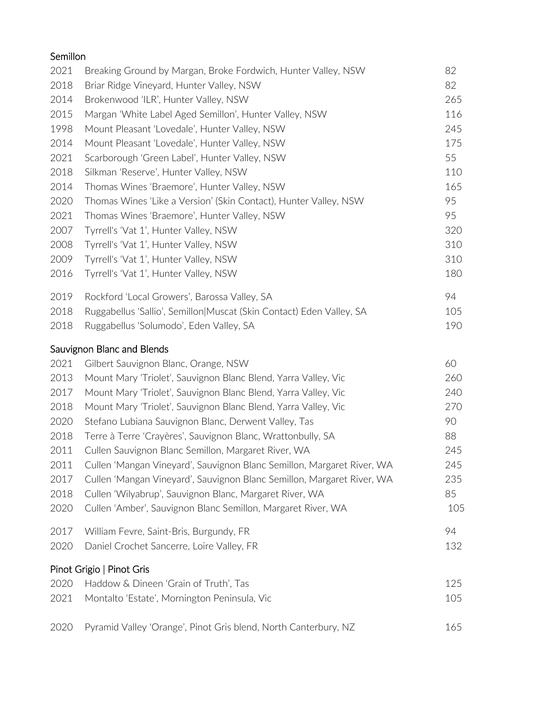| Semillon |                                                                        |     |
|----------|------------------------------------------------------------------------|-----|
| 2021     | Breaking Ground by Margan, Broke Fordwich, Hunter Valley, NSW          | 82  |
| 2018     | Briar Ridge Vineyard, Hunter Valley, NSW                               | 82  |
| 2014     | Brokenwood 'ILR', Hunter Valley, NSW                                   | 265 |
| 2015     | Margan 'White Label Aged Semillon', Hunter Valley, NSW                 | 116 |
| 1998     | Mount Pleasant 'Lovedale', Hunter Valley, NSW                          | 245 |
| 2014     | Mount Pleasant 'Lovedale', Hunter Valley, NSW                          | 175 |
| 2021     | Scarborough 'Green Label', Hunter Valley, NSW                          | 55  |
| 2018     | Silkman 'Reserve', Hunter Valley, NSW                                  | 110 |
| 2014     | Thomas Wines 'Braemore', Hunter Valley, NSW                            | 165 |
| 2020     | Thomas Wines 'Like a Version' (Skin Contact), Hunter Valley, NSW       | 95  |
| 2021     | Thomas Wines 'Braemore', Hunter Valley, NSW                            | 95  |
| 2007     | Tyrrell's 'Vat 1', Hunter Valley, NSW                                  | 320 |
| 2008     | Tyrrell's 'Vat 1', Hunter Valley, NSW                                  | 310 |
| 2009     | Tyrrell's 'Vat 1', Hunter Valley, NSW                                  | 310 |
| 2016     | Tyrrell's 'Vat 1', Hunter Valley, NSW                                  | 180 |
| 2019     | Rockford 'Local Growers', Barossa Valley, SA                           | 94  |
| 2018     | Ruggabellus 'Sallio', Semillon Muscat (Skin Contact) Eden Valley, SA   | 105 |
| 2018     | Ruggabellus 'Solumodo', Eden Valley, SA                                | 190 |
|          | Sauvignon Blanc and Blends                                             |     |
|          | 2021 Gilbert Sauvignon Blanc, Orange, NSW                              | 60  |
| 2013     | Mount Mary 'Triolet', Sauvignon Blanc Blend, Yarra Valley, Vic         | 260 |
| 2017     | Mount Mary 'Triolet', Sauvignon Blanc Blend, Yarra Valley, Vic         | 240 |
| 2018     | Mount Mary 'Triolet', Sauvignon Blanc Blend, Yarra Valley, Vic         | 270 |
| 2020     | Stefano Lubiana Sauvignon Blanc, Derwent Valley, Tas                   | 90  |
| 2018     | Terre à Terre 'Crayères', Sauvignon Blanc, Wrattonbully, SA            | 88  |
| 2011     | Cullen Sauvignon Blanc Semillon, Margaret River, WA                    | 245 |
| 2011     | Cullen 'Mangan Vineyard', Sauvignon Blanc Semillon, Margaret River, WA | 245 |
| 2017     | Cullen 'Mangan Vineyard', Sauvignon Blanc Semillon, Margaret River, WA | 235 |
| 2018     | Cullen 'Wilyabrup', Sauvignon Blanc, Margaret River, WA                | 85  |
| 2020     | Cullen 'Amber', Sauvignon Blanc Semillon, Margaret River, WA           | 105 |
| 2017     | William Fevre, Saint-Bris, Burgundy, FR                                | 94  |
| 2020     | Daniel Crochet Sancerre, Loire Valley, FR                              | 132 |
|          | Pinot Grigio   Pinot Gris                                              |     |
| 2020     | Haddow & Dineen 'Grain of Truth', Tas                                  | 125 |
| 2021     | Montalto 'Estate', Mornington Peninsula, Vic                           | 105 |
| 2020     | Pyramid Valley 'Orange', Pinot Gris blend, North Canterbury, NZ        | 165 |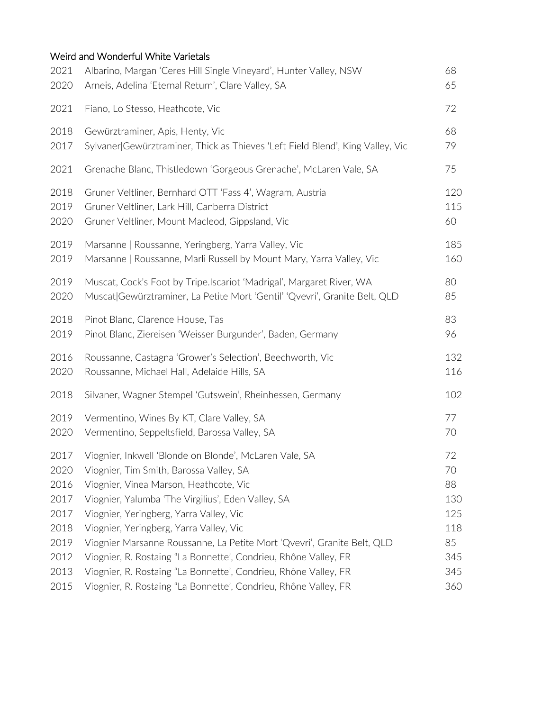# Weird and Wonderful White Varietals

| 2021 | Albarino, Margan 'Ceres Hill Single Vineyard', Hunter Valley, NSW              | 68  |
|------|--------------------------------------------------------------------------------|-----|
| 2020 | Arneis, Adelina 'Eternal Return', Clare Valley, SA                             | 65  |
| 2021 | Fiano, Lo Stesso, Heathcote, Vic                                               | 72  |
| 2018 | Gewürztraminer, Apis, Henty, Vic                                               | 68  |
| 2017 | Sylvaner Gewürztraminer, Thick as Thieves 'Left Field Blend', King Valley, Vic | 79  |
| 2021 | Grenache Blanc, Thistledown 'Gorgeous Grenache', McLaren Vale, SA              | 75  |
| 2018 | Gruner Veltliner, Bernhard OTT 'Fass 4', Wagram, Austria                       | 120 |
| 2019 | Gruner Veltliner, Lark Hill, Canberra District                                 | 115 |
| 2020 | Gruner Veltliner, Mount Macleod, Gippsland, Vic                                | 60  |
| 2019 | Marsanne   Roussanne, Yeringberg, Yarra Valley, Vic                            | 185 |
| 2019 | Marsanne   Roussanne, Marli Russell by Mount Mary, Yarra Valley, Vic           | 160 |
| 2019 | Muscat, Cock's Foot by Tripe.Iscariot 'Madrigal', Margaret River, WA           | 80  |
| 2020 | Muscat Gewürztraminer, La Petite Mort 'Gentil' 'Qvevri', Granite Belt, QLD     | 85  |
| 2018 | Pinot Blanc, Clarence House, Tas                                               | 83  |
| 2019 | Pinot Blanc, Ziereisen 'Weisser Burgunder', Baden, Germany                     | 96  |
| 2016 | Roussanne, Castagna 'Grower's Selection', Beechworth, Vic                      | 132 |
| 2020 | Roussanne, Michael Hall, Adelaide Hills, SA                                    | 116 |
| 2018 | Silvaner, Wagner Stempel 'Gutswein', Rheinhessen, Germany                      | 102 |
| 2019 | Vermentino, Wines By KT, Clare Valley, SA                                      | 77  |
| 2020 | Vermentino, Seppeltsfield, Barossa Valley, SA                                  | 70  |
| 2017 | Viognier, Inkwell 'Blonde on Blonde', McLaren Vale, SA                         | 72  |
| 2020 | Viognier, Tim Smith, Barossa Valley, SA                                        | 70  |
| 2016 | Viognier, Vinea Marson, Heathcote, Vic                                         | 88  |
| 2017 | Viognier, Yalumba 'The Virgilius', Eden Valley, SA                             | 130 |
| 2017 | Viognier, Yeringberg, Yarra Valley, Vic                                        | 125 |
| 2018 | Viognier, Yeringberg, Yarra Valley, Vic                                        | 118 |
| 2019 | Viognier Marsanne Roussanne, La Petite Mort 'Qvevri', Granite Belt, QLD        | 85  |
| 2012 | Viognier, R. Rostaing "La Bonnette', Condrieu, Rhône Valley, FR                | 345 |
| 2013 | Viognier, R. Rostaing "La Bonnette', Condrieu, Rhône Valley, FR                | 345 |
| 2015 | Viognier, R. Rostaing "La Bonnette', Condrieu, Rhône Valley, FR                | 360 |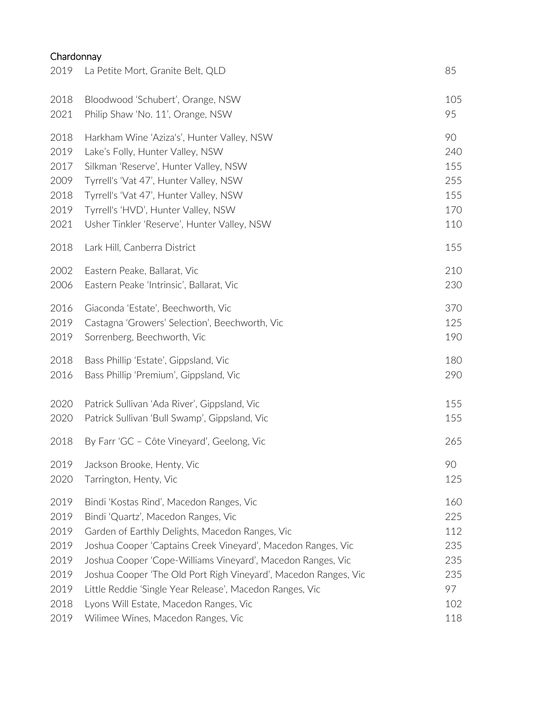# Chardonnay

| 2019 | La Petite Mort, Granite Belt, QLD                               | 85  |
|------|-----------------------------------------------------------------|-----|
| 2018 | Bloodwood 'Schubert', Orange, NSW                               | 105 |
| 2021 | Philip Shaw 'No. 11', Orange, NSW                               | 95  |
| 2018 | Harkham Wine 'Aziza's', Hunter Valley, NSW                      | 90  |
| 2019 | Lake's Folly, Hunter Valley, NSW                                | 240 |
| 2017 | Silkman 'Reserve', Hunter Valley, NSW                           | 155 |
| 2009 | Tyrrell's 'Vat 47', Hunter Valley, NSW                          | 255 |
| 2018 | Tyrrell's 'Vat 47', Hunter Valley, NSW                          | 155 |
| 2019 | Tyrrell's 'HVD', Hunter Valley, NSW                             | 170 |
| 2021 | Usher Tinkler 'Reserve', Hunter Valley, NSW                     | 110 |
| 2018 | Lark Hill, Canberra District                                    | 155 |
| 2002 | Eastern Peake, Ballarat, Vic                                    | 210 |
| 2006 | Eastern Peake 'Intrinsic', Ballarat, Vic                        | 230 |
| 2016 | Giaconda 'Estate', Beechworth, Vic                              | 370 |
| 2019 | Castagna 'Growers' Selection', Beechworth, Vic                  | 125 |
| 2019 | Sorrenberg, Beechworth, Vic                                     | 190 |
| 2018 | Bass Phillip 'Estate', Gippsland, Vic                           | 180 |
| 2016 | Bass Phillip 'Premium', Gippsland, Vic                          | 290 |
| 2020 | Patrick Sullivan 'Ada River', Gippsland, Vic                    | 155 |
| 2020 | Patrick Sullivan 'Bull Swamp', Gippsland, Vic                   | 155 |
| 2018 | By Farr 'GC - Côte Vineyard', Geelong, Vic                      | 265 |
| 2019 | Jackson Brooke, Henty, Vic                                      | 90  |
| 2020 | Tarrington, Henty, Vic                                          | 125 |
| 2019 | Bindi 'Kostas Rind', Macedon Ranges, Vic                        | 160 |
| 2019 | Bindi 'Quartz', Macedon Ranges, Vic                             | 225 |
| 2019 | Garden of Earthly Delights, Macedon Ranges, Vic                 | 112 |
| 2019 | Joshua Cooper 'Captains Creek Vineyard', Macedon Ranges, Vic    | 235 |
| 2019 | Joshua Cooper 'Cope-Williams Vineyard', Macedon Ranges, Vic     | 235 |
| 2019 | Joshua Cooper 'The Old Port Righ Vineyard', Macedon Ranges, Vic | 235 |
| 2019 | Little Reddie 'Single Year Release', Macedon Ranges, Vic        | 97  |
| 2018 | Lyons Will Estate, Macedon Ranges, Vic                          | 102 |
| 2019 | Wilimee Wines, Macedon Ranges, Vic                              | 118 |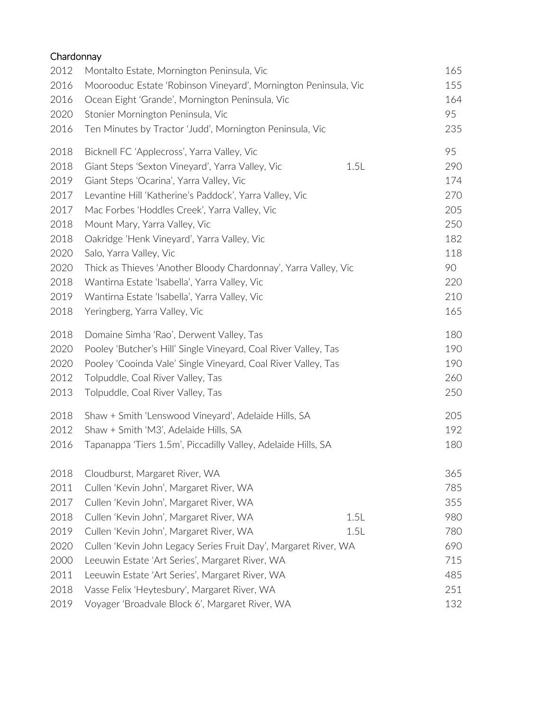| Chardonnay |                                                                 |      |     |
|------------|-----------------------------------------------------------------|------|-----|
| 2012       | Montalto Estate, Mornington Peninsula, Vic                      |      | 165 |
| 2016       | Moorooduc Estate 'Robinson Vineyard', Mornington Peninsula, Vic |      | 155 |
| 2016       | Ocean Eight 'Grande', Mornington Peninsula, Vic                 |      | 164 |
| 2020       | Stonier Mornington Peninsula, Vic                               |      | 95  |
| 2016       | Ten Minutes by Tractor 'Judd', Mornington Peninsula, Vic        |      | 235 |
| 2018       | Bicknell FC 'Applecross', Yarra Valley, Vic                     |      | 95  |
| 2018       | Giant Steps 'Sexton Vineyard', Yarra Valley, Vic                | 1.5L | 290 |
| 2019       | Giant Steps 'Ocarina', Yarra Valley, Vic                        |      | 174 |
| 2017       | Levantine Hill 'Katherine's Paddock', Yarra Valley, Vic         |      | 270 |
| 2017       | Mac Forbes 'Hoddles Creek', Yarra Valley, Vic                   |      | 205 |
| 2018       | Mount Mary, Yarra Valley, Vic                                   |      | 250 |
| 2018       | Oakridge 'Henk Vineyard', Yarra Valley, Vic                     |      | 182 |
| 2020       | Salo, Yarra Valley, Vic                                         |      | 118 |
| 2020       | Thick as Thieves 'Another Bloody Chardonnay', Yarra Valley, Vic |      | 90  |
| 2018       | Wantirna Estate 'Isabella', Yarra Valley, Vic                   |      | 220 |
| 2019       | Wantirna Estate 'Isabella', Yarra Valley, Vic                   |      | 210 |
| 2018       | Yeringberg, Yarra Valley, Vic                                   |      | 165 |
| 2018       | Domaine Simha 'Rao', Derwent Valley, Tas                        |      | 180 |
| 2020       | Pooley 'Butcher's Hill' Single Vineyard, Coal River Valley, Tas |      | 190 |
| 2020       | Pooley 'Cooinda Vale' Single Vineyard, Coal River Valley, Tas   |      | 190 |
| 2012       | Tolpuddle, Coal River Valley, Tas                               |      | 260 |
| 2013       | Tolpuddle, Coal River Valley, Tas                               |      | 250 |
| 2018       | Shaw + Smith 'Lenswood Vineyard', Adelaide Hills, SA            |      | 205 |
| 2012       | Shaw + Smith 'M3', Adelaide Hills, SA                           |      | 192 |
| 2016       | Tapanappa 'Tiers 1.5m', Piccadilly Valley, Adelaide Hills, SA   |      | 180 |
| 2018       | Cloudburst, Margaret River, WA                                  |      | 365 |
| 2011       | Cullen 'Kevin John', Margaret River, WA                         |      | 785 |
| 2017       | Cullen 'Kevin John', Margaret River, WA                         |      | 355 |
| 2018       | Cullen 'Kevin John', Margaret River, WA                         | 1.5L | 980 |
| 2019       | Cullen 'Kevin John', Margaret River, WA                         | 1.5L | 780 |
| 2020       | Cullen 'Kevin John Legacy Series Fruit Day', Margaret River, WA |      | 690 |
| 2000       | Leeuwin Estate 'Art Series', Margaret River, WA                 |      | 715 |
| 2011       | Leeuwin Estate 'Art Series', Margaret River, WA                 |      | 485 |
| 2018       | Vasse Felix 'Heytesbury', Margaret River, WA                    |      | 251 |
| 2019       | Voyager 'Broadvale Block 6', Margaret River, WA                 |      | 132 |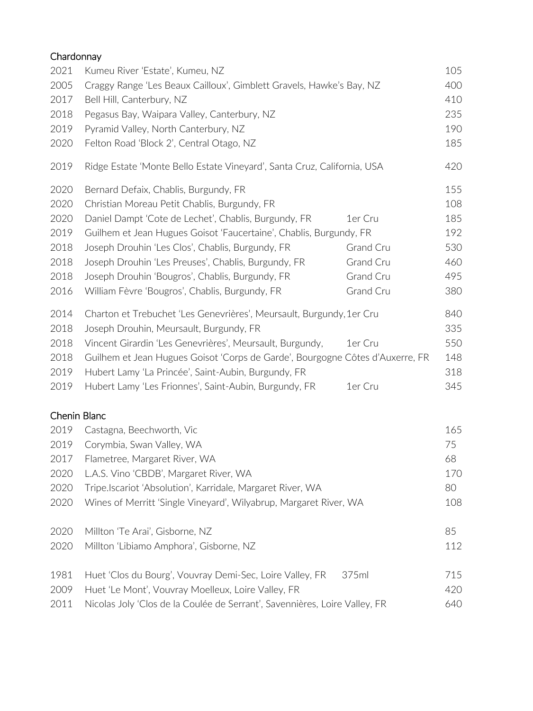| Chardonnay          |                                                                               |                  |     |
|---------------------|-------------------------------------------------------------------------------|------------------|-----|
| 2021                | Kumeu River 'Estate', Kumeu, NZ                                               |                  | 105 |
| 2005                | Craggy Range 'Les Beaux Cailloux', Gimblett Gravels, Hawke's Bay, NZ          |                  | 400 |
| 2017                | Bell Hill, Canterbury, NZ                                                     |                  | 410 |
| 2018                | Pegasus Bay, Waipara Valley, Canterbury, NZ                                   |                  | 235 |
| 2019                | Pyramid Valley, North Canterbury, NZ                                          |                  | 190 |
| 2020                | Felton Road 'Block 2', Central Otago, NZ                                      |                  | 185 |
| 2019                | Ridge Estate 'Monte Bello Estate Vineyard', Santa Cruz, California, USA       |                  | 420 |
| 2020                | Bernard Defaix, Chablis, Burgundy, FR                                         |                  | 155 |
| 2020                | Christian Moreau Petit Chablis, Burgundy, FR                                  |                  | 108 |
| 2020                | Daniel Dampt 'Cote de Lechet', Chablis, Burgundy, FR                          | 1er Cru          | 185 |
| 2019                | Guilhem et Jean Hugues Goisot 'Faucertaine', Chablis, Burgundy, FR            |                  | 192 |
| 2018                | Joseph Drouhin 'Les Clos', Chablis, Burgundy, FR                              | Grand Cru        | 530 |
| 2018                | Joseph Drouhin 'Les Preuses', Chablis, Burgundy, FR                           | <b>Grand Cru</b> | 460 |
| 2018                | Joseph Drouhin 'Bougros', Chablis, Burgundy, FR                               | Grand Cru        | 495 |
| 2016                | William Fèvre 'Bougros', Chablis, Burgundy, FR                                | Grand Cru        | 380 |
| 2014                | Charton et Trebuchet 'Les Genevrières', Meursault, Burgundy, 1er Cru          |                  | 840 |
| 2018                | Joseph Drouhin, Meursault, Burgundy, FR                                       |                  | 335 |
| 2018                | Vincent Girardin 'Les Genevrières', Meursault, Burgundy,                      | 1er Cru          | 550 |
| 2018                | Guilhem et Jean Hugues Goisot 'Corps de Garde', Bourgogne Côtes d'Auxerre, FR |                  | 148 |
| 2019                | Hubert Lamy 'La Princée', Saint-Aubin, Burgundy, FR                           |                  | 318 |
| 2019                | Hubert Lamy 'Les Frionnes', Saint-Aubin, Burgundy, FR                         | 1er Cru          | 345 |
| <b>Chenin Blanc</b> |                                                                               |                  |     |
| 2019                | Castagna, Beechworth, Vic                                                     |                  | 165 |
| 2019                | Corymbia, Swan Valley, WA                                                     |                  | 75  |
| 2017                | Flametree, Margaret River, WA                                                 |                  | 68  |
| 2020                | L.A.S. Vino 'CBDB', Margaret River, WA                                        |                  | 170 |
| 2020                | Tripe.Iscariot 'Absolution', Karridale, Margaret River, WA                    |                  | 80  |
| 2020                | Wines of Merritt 'Single Vineyard', Wilyabrup, Margaret River, WA             |                  | 108 |
| 2020                | Millton 'Te Arai', Gisborne, NZ                                               |                  | 85  |
| 2020                | Millton 'Libiamo Amphora', Gisborne, NZ                                       |                  | 112 |
| 1981                | Huet 'Clos du Bourg', Vouvray Demi-Sec, Loire Valley, FR                      | 375ml            | 715 |
| 2009                | Huet 'Le Mont', Vouvray Moelleux, Loire Valley, FR                            |                  | 420 |
| 2011                | Nicolas Joly 'Clos de la Coulée de Serrant', Savennières, Loire Valley, FR    |                  | 640 |
|                     |                                                                               |                  |     |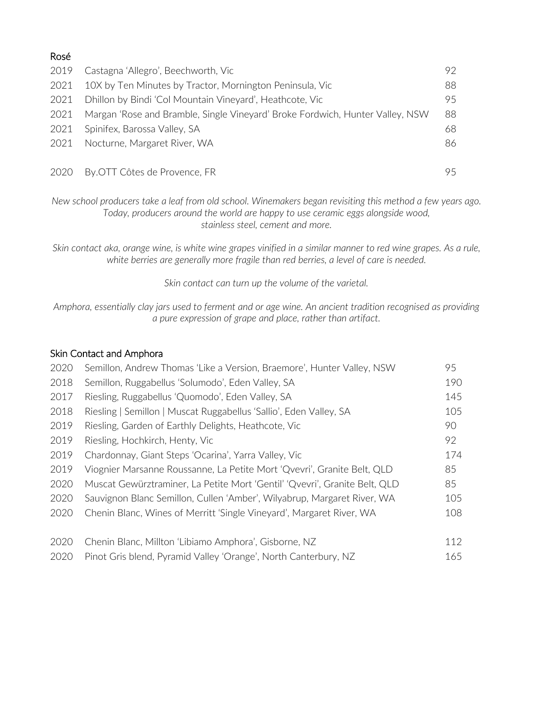| Rosé |                                                                               |    |
|------|-------------------------------------------------------------------------------|----|
| 2019 | Castagna 'Allegro', Beechworth, Vic                                           | 92 |
| 2021 | 10X by Ten Minutes by Tractor, Mornington Peninsula, Vic                      | 88 |
| 2021 | Dhillon by Bindi 'Col Mountain Vineyard', Heathcote, Vic                      | 95 |
| 2021 | Margan 'Rose and Bramble, Single Vineyard' Broke Fordwich, Hunter Valley, NSW | 88 |
| 2021 | Spinifex, Barossa Valley, SA                                                  | 68 |
| 2021 | Nocturne, Margaret River, WA                                                  | 86 |
| 2020 | By.OTT Côtes de Provence, FR                                                  | 95 |

*New school producers take a leaf from old school. Winemakers began revisiting this method a few years ago. Today, producers around the world are happy to use ceramic eggs alongside wood, stainless steel, cement and more.* 

*Skin contact aka, orange wine, is white wine grapes vinified in a similar manner to red wine grapes. As a rule, white berries are generally more fragile than red berries, a level of care is needed.* 

*Skin contact can turn up the volume of the varietal.* 

*Amphora, essentially clay jars used to ferment and or age wine. An ancient tradition recognised as providing a pure expression of grape and place, rather than artifact.* 

## Skin Contact and Amphora

| 2020 | Semillon, Andrew Thomas 'Like a Version, Braemore', Hunter Valley, NSW     | 95  |
|------|----------------------------------------------------------------------------|-----|
| 2018 | Semillon, Ruggabellus 'Solumodo', Eden Valley, SA                          | 190 |
| 2017 | Riesling, Ruggabellus 'Quomodo', Eden Valley, SA                           | 145 |
| 2018 | Riesling   Semillon   Muscat Ruggabellus 'Sallio', Eden Valley, SA         | 105 |
| 2019 | Riesling, Garden of Earthly Delights, Heathcote, Vic                       | 90  |
| 2019 | Riesling, Hochkirch, Henty, Vic                                            | 92  |
| 2019 | Chardonnay, Giant Steps 'Ocarina', Yarra Valley, Vic                       | 174 |
| 2019 | Viognier Marsanne Roussanne, La Petite Mort 'Qvevri', Granite Belt, QLD    | 85  |
| 2020 | Muscat Gewürztraminer, La Petite Mort 'Gentil' 'Qvevri', Granite Belt, QLD | 85  |
| 2020 | Sauvignon Blanc Semillon, Cullen 'Amber', Wilyabrup, Margaret River, WA    | 105 |
| 2020 | Chenin Blanc, Wines of Merritt 'Single Vineyard', Margaret River, WA       | 108 |
| 2020 | Chenin Blanc, Millton 'Libiamo Amphora', Gisborne, NZ                      | 112 |
| 2020 | Pinot Gris blend, Pyramid Valley 'Orange', North Canterbury, NZ            | 165 |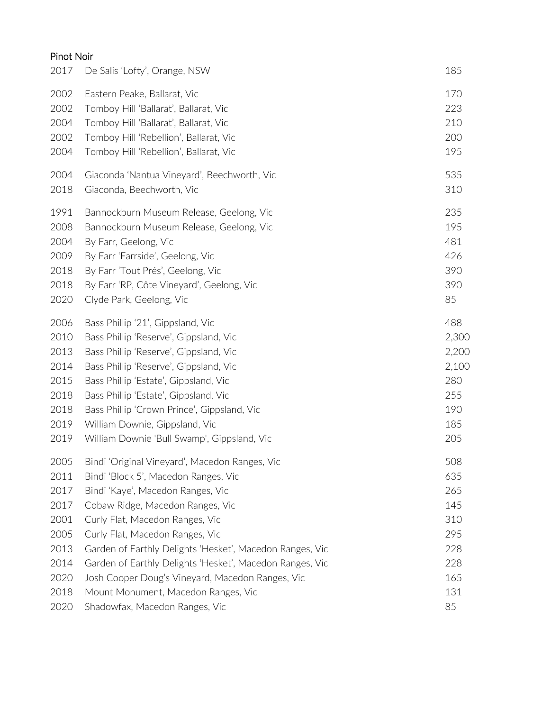# Pinot Noir

| 2017 | De Salis 'Lofty', Orange, NSW                            | 185   |
|------|----------------------------------------------------------|-------|
| 2002 | Eastern Peake, Ballarat, Vic                             | 170   |
| 2002 | Tomboy Hill 'Ballarat', Ballarat, Vic                    | 223   |
| 2004 | Tomboy Hill 'Ballarat', Ballarat, Vic                    | 210   |
| 2002 | Tomboy Hill 'Rebellion', Ballarat, Vic                   | 200   |
| 2004 | Tomboy Hill 'Rebellion', Ballarat, Vic                   | 195   |
| 2004 | Giaconda 'Nantua Vineyard', Beechworth, Vic              | 535   |
| 2018 | Giaconda, Beechworth, Vic                                | 310   |
| 1991 | Bannockburn Museum Release, Geelong, Vic                 | 235   |
| 2008 | Bannockburn Museum Release, Geelong, Vic                 | 195   |
| 2004 | By Farr, Geelong, Vic                                    | 481   |
| 2009 | By Farr 'Farrside', Geelong, Vic                         | 426   |
| 2018 | By Farr 'Tout Prés', Geelong, Vic                        | 390   |
| 2018 | By Farr 'RP, Côte Vineyard', Geelong, Vic                | 390   |
| 2020 | Clyde Park, Geelong, Vic                                 | 85    |
| 2006 | Bass Phillip '21', Gippsland, Vic                        | 488   |
| 2010 | Bass Phillip 'Reserve', Gippsland, Vic                   | 2,300 |
| 2013 | Bass Phillip 'Reserve', Gippsland, Vic                   | 2,200 |
| 2014 | Bass Phillip 'Reserve', Gippsland, Vic                   | 2,100 |
| 2015 | Bass Phillip 'Estate', Gippsland, Vic                    | 280   |
| 2018 | Bass Phillip 'Estate', Gippsland, Vic                    | 255   |
| 2018 | Bass Phillip 'Crown Prince', Gippsland, Vic              | 190   |
| 2019 | William Downie, Gippsland, Vic                           | 185   |
| 2019 | William Downie 'Bull Swamp', Gippsland, Vic              | 205   |
| 2005 | Bindi 'Original Vineyard', Macedon Ranges, Vic           | 508   |
| 2011 | Bindi 'Block 5', Macedon Ranges, Vic                     | 635   |
| 2017 | Bindi 'Kaye', Macedon Ranges, Vic                        | 265   |
| 2017 | Cobaw Ridge, Macedon Ranges, Vic                         | 145   |
| 2001 | Curly Flat, Macedon Ranges, Vic                          | 310   |
| 2005 | Curly Flat, Macedon Ranges, Vic                          | 295   |
| 2013 | Garden of Earthly Delights 'Hesket', Macedon Ranges, Vic | 228   |
| 2014 | Garden of Earthly Delights 'Hesket', Macedon Ranges, Vic | 228   |
| 2020 | Josh Cooper Doug's Vineyard, Macedon Ranges, Vic         | 165   |
| 2018 | Mount Monument, Macedon Ranges, Vic                      | 131   |
| 2020 | Shadowfax, Macedon Ranges, Vic                           | 85    |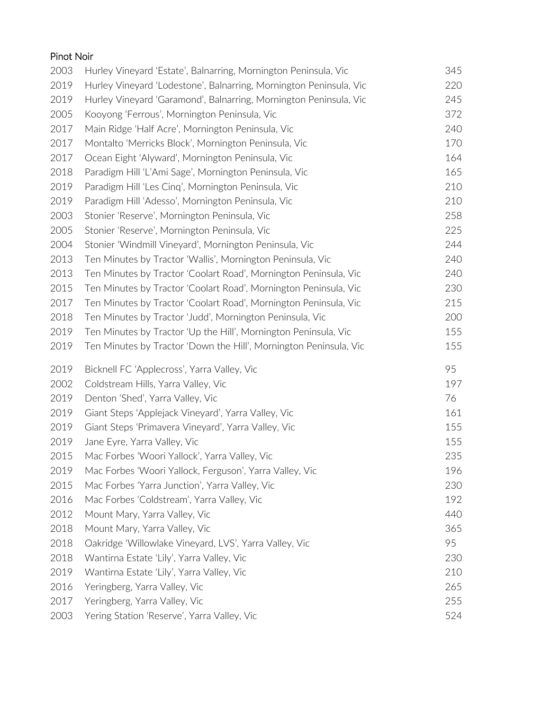| Pinot Noir |                                                                    |     |
|------------|--------------------------------------------------------------------|-----|
| 2003       | Hurley Vineyard 'Estate', Balnarring, Mornington Peninsula, Vic    | 345 |
| 2019       | Hurley Vineyard 'Lodestone', Balnarring, Mornington Peninsula, Vic | 220 |
| 2019       | Hurley Vineyard 'Garamond', Balnarring, Mornington Peninsula, Vic  | 245 |
| 2005       | Kooyong 'Ferrous', Mornington Peninsula, Vic                       | 372 |
| 2017       | Main Ridge 'Half Acre', Mornington Peninsula, Vic                  | 240 |
| 2017       | Montalto 'Merricks Block', Mornington Peninsula, Vic               | 170 |
| 2017       | Ocean Eight 'Alyward', Mornington Peninsula, Vic                   | 164 |
| 2018       | Paradigm Hill 'L'Ami Sage', Mornington Peninsula, Vic              | 165 |
| 2019       | Paradigm Hill 'Les Cing', Mornington Peninsula, Vic                | 210 |
| 2019       | Paradigm Hill 'Adesso', Mornington Peninsula, Vic                  | 210 |
| 2003       | Stonier 'Reserve', Mornington Peninsula, Vic                       | 258 |
| 2005       | Stonier 'Reserve', Mornington Peninsula, Vic                       | 225 |
| 2004       | Stonier 'Windmill Vineyard', Mornington Peninsula, Vic             | 244 |
| 2013       | Ten Minutes by Tractor 'Wallis', Mornington Peninsula, Vic         | 240 |
| 2013       | Ten Minutes by Tractor 'Coolart Road', Mornington Peninsula, Vic   | 240 |
| 2015       | Ten Minutes by Tractor 'Coolart Road', Mornington Peninsula, Vic   | 230 |
| 2017       | Ten Minutes by Tractor 'Coolart Road', Mornington Peninsula, Vic   | 215 |
| 2018       | Ten Minutes by Tractor 'Judd', Mornington Peninsula, Vic           | 200 |
| 2019       | Ten Minutes by Tractor 'Up the Hill', Mornington Peninsula, Vic    | 155 |
| 2019       | Ten Minutes by Tractor 'Down the Hill', Mornington Peninsula, Vic  | 155 |
| 2019       | Bicknell FC 'Applecross', Yarra Valley, Vic                        | 95  |
| 2002       | Coldstream Hills, Yarra Valley, Vic                                | 197 |
| 2019       | Denton 'Shed', Yarra Valley, Vic                                   | 76  |
| 2019       | Giant Steps 'Applejack Vineyard', Yarra Valley, Vic                | 161 |
| 2019       | Giant Steps 'Primavera Vineyard', Yarra Valley, Vic                | 155 |
| 2019       | Jane Eyre, Yarra Valley, Vic                                       | 155 |
| 2015       | Mac Forbes 'Woori Yallock', Yarra Valley, Vic                      | 235 |
| 2019       | Mac Forbes 'Woori Yallock, Ferguson', Yarra Valley, Vic            | 196 |
| 2015       | Mac Forbes 'Yarra Junction', Yarra Valley, Vic                     | 230 |
| 2016       | Mac Forbes 'Coldstream', Yarra Valley, Vic                         | 192 |
| 2012       | Mount Mary, Yarra Valley, Vic                                      | 440 |
| 2018       | Mount Mary, Yarra Valley, Vic                                      | 365 |
| 2018       | Oakridge 'Willowlake Vineyard, LVS', Yarra Valley, Vic             | 95  |
| 2018       | Wantirna Estate 'Lily', Yarra Valley, Vic                          | 230 |
| 2019       | Wantirna Estate 'Lily', Yarra Valley, Vic                          | 210 |
| 2016       | Yeringberg, Yarra Valley, Vic                                      | 265 |
| 2017       | Yeringberg, Yarra Valley, Vic                                      | 255 |
| 2003       | Yering Station 'Reserve', Yarra Valley, Vic                        | 524 |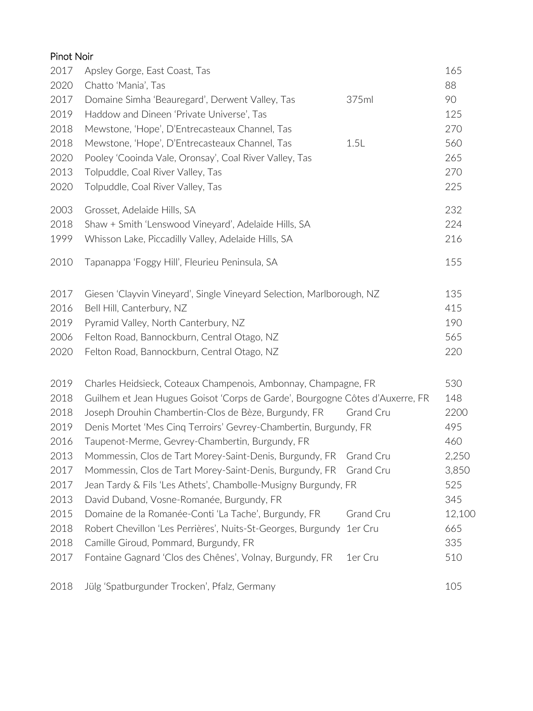| Pinot Noir |                                                                               |                  |        |
|------------|-------------------------------------------------------------------------------|------------------|--------|
| 2017       | Apsley Gorge, East Coast, Tas                                                 |                  | 165    |
| 2020       | Chatto 'Mania', Tas                                                           |                  | 88     |
| 2017       | Domaine Simha 'Beauregard', Derwent Valley, Tas                               | 375ml            | 90     |
| 2019       | Haddow and Dineen 'Private Universe', Tas                                     |                  | 125    |
| 2018       | Mewstone, 'Hope', D'Entrecasteaux Channel, Tas                                |                  | 270    |
| 2018       | Mewstone, 'Hope', D'Entrecasteaux Channel, Tas                                | 1.5L             | 560    |
| 2020       | Pooley 'Cooinda Vale, Oronsay', Coal River Valley, Tas                        |                  | 265    |
| 2013       | Tolpuddle, Coal River Valley, Tas                                             |                  | 270    |
| 2020       | Tolpuddle, Coal River Valley, Tas                                             |                  | 225    |
| 2003       | Grosset, Adelaide Hills, SA                                                   |                  | 232    |
| 2018       | Shaw + Smith 'Lenswood Vineyard', Adelaide Hills, SA                          |                  | 224    |
| 1999       | Whisson Lake, Piccadilly Valley, Adelaide Hills, SA                           |                  | 216    |
| 2010       | Tapanappa 'Foggy Hill', Fleurieu Peninsula, SA                                |                  | 155    |
| 2017       | Giesen 'Clayvin Vineyard', Single Vineyard Selection, Marlborough, NZ         |                  | 135    |
| 2016       | Bell Hill, Canterbury, NZ                                                     |                  | 415    |
| 2019       | Pyramid Valley, North Canterbury, NZ                                          |                  | 190    |
| 2006       | Felton Road, Bannockburn, Central Otago, NZ                                   |                  | 565    |
| 2020       | Felton Road, Bannockburn, Central Otago, NZ                                   |                  | 220    |
| 2019       | Charles Heidsieck, Coteaux Champenois, Ambonnay, Champagne, FR                |                  | 530    |
| 2018       | Guilhem et Jean Hugues Goisot 'Corps de Garde', Bourgogne Côtes d'Auxerre, FR |                  | 148    |
| 2018       | Joseph Drouhin Chambertin-Clos de Bèze, Burgundy, FR                          | Grand Cru        | 2200   |
| 2019       | Denis Mortet 'Mes Cing Terroirs' Gevrey-Chambertin, Burgundy, FR              |                  | 495    |
| 2016       | Taupenot-Merme, Gevrey-Chambertin, Burgundy, FR                               |                  | 460    |
| 2013       | Mommessin, Clos de Tart Morey-Saint-Denis, Burgundy, FR                       | Grand Cru        | 2,250  |
| 2017       | Mommessin, Clos de Tart Morey-Saint-Denis, Burgundy, FR                       | <b>Grand Cru</b> | 3,850  |
| 2017       | Jean Tardy & Fils 'Les Athets', Chambolle-Musigny Burgundy, FR                |                  | 525    |
| 2013       | David Duband, Vosne-Romanée, Burgundy, FR                                     |                  | 345    |
| 2015       | Domaine de la Romanée-Conti 'La Tache', Burgundy, FR                          | <b>Grand Cru</b> | 12,100 |
| 2018       | Robert Chevillon 'Les Perrières', Nuits-St-Georges, Burgundy                  | 1er Cru          | 665    |
| 2018       | Camille Giroud, Pommard, Burgundy, FR                                         |                  | 335    |
| 2017       | Fontaine Gagnard 'Clos des Chênes', Volnay, Burgundy, FR                      | 1er Cru          | 510    |
| 2018       | Jülg 'Spatburgunder Trocken', Pfalz, Germany                                  |                  | 105    |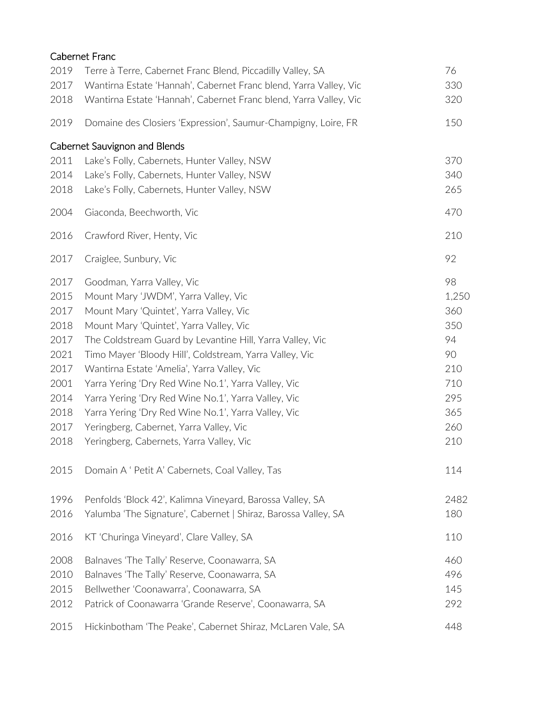|      | <b>Cabernet Franc</b>                                             |       |
|------|-------------------------------------------------------------------|-------|
| 2019 | Terre à Terre, Cabernet Franc Blend, Piccadilly Valley, SA        | 76    |
| 2017 | Wantirna Estate 'Hannah', Cabernet Franc blend, Yarra Valley, Vic | 330   |
| 2018 | Wantirna Estate 'Hannah', Cabernet Franc blend, Yarra Valley, Vic | 320   |
| 2019 | Domaine des Closiers 'Expression', Saumur-Champigny, Loire, FR    | 150   |
|      | Cabernet Sauvignon and Blends                                     |       |
| 2011 | Lake's Folly, Cabernets, Hunter Valley, NSW                       | 370   |
| 2014 | Lake's Folly, Cabernets, Hunter Valley, NSW                       | 340   |
| 2018 | Lake's Folly, Cabernets, Hunter Valley, NSW                       | 265   |
| 2004 | Giaconda, Beechworth, Vic                                         | 470   |
| 2016 | Crawford River, Henty, Vic                                        | 210   |
| 2017 | Craiglee, Sunbury, Vic                                            | 92    |
| 2017 | Goodman, Yarra Valley, Vic                                        | 98    |
| 2015 | Mount Mary 'JWDM', Yarra Valley, Vic                              | 1,250 |
| 2017 | Mount Mary 'Quintet', Yarra Valley, Vic                           | 360   |
| 2018 | Mount Mary 'Quintet', Yarra Valley, Vic                           | 350   |
| 2017 | The Coldstream Guard by Levantine Hill, Yarra Valley, Vic         | 94    |
| 2021 | Timo Mayer 'Bloody Hill', Coldstream, Yarra Valley, Vic           | 90    |
| 2017 | Wantirna Estate 'Amelia', Yarra Valley, Vic                       | 210   |
| 2001 | Yarra Yering 'Dry Red Wine No.1', Yarra Valley, Vic               | 710   |
| 2014 | Yarra Yering 'Dry Red Wine No.1', Yarra Valley, Vic               | 295   |
| 2018 | Yarra Yering 'Dry Red Wine No.1', Yarra Valley, Vic               | 365   |
| 2017 | Yeringberg, Cabernet, Yarra Valley, Vic                           | 260   |
| 2018 | Yeringberg, Cabernets, Yarra Valley, Vic                          | 210   |
| 2015 | Domain A ' Petit A' Cabernets, Coal Valley, Tas                   | 114   |
| 1996 | Penfolds 'Block 42', Kalimna Vineyard, Barossa Valley, SA         | 2482  |
| 2016 | Yalumba 'The Signature', Cabernet   Shiraz, Barossa Valley, SA    | 180   |
| 2016 | KT 'Churinga Vineyard', Clare Valley, SA                          | 110   |
| 2008 | Balnaves 'The Tally' Reserve, Coonawarra, SA                      | 460   |
| 2010 | Balnaves 'The Tally' Reserve, Coonawarra, SA                      | 496   |
| 2015 | Bellwether 'Coonawarra', Coonawarra, SA                           | 145   |
| 2012 | Patrick of Coonawarra 'Grande Reserve', Coonawarra, SA            | 292   |
| 2015 | Hickinbotham 'The Peake', Cabernet Shiraz, McLaren Vale, SA       | 448   |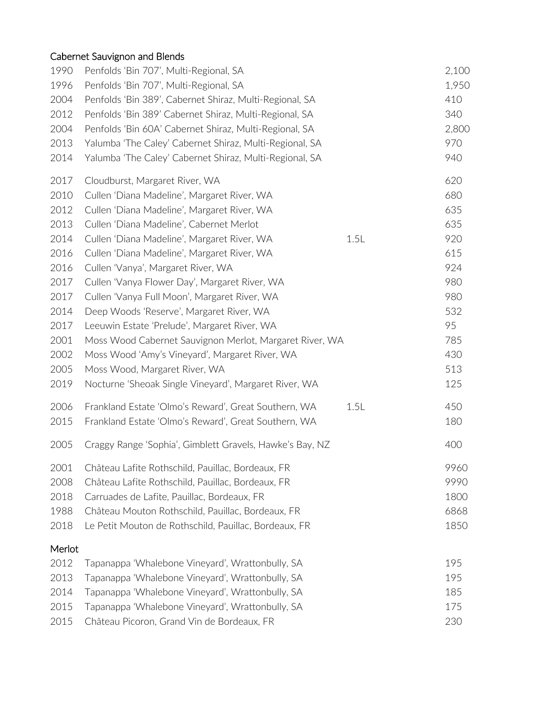# Cabernet Sauvignon and Blends

| 1990   | Penfolds 'Bin 707', Multi-Regional, SA                   |      | 2,100 |
|--------|----------------------------------------------------------|------|-------|
| 1996   | Penfolds 'Bin 707', Multi-Regional, SA                   |      | 1,950 |
| 2004   | Penfolds 'Bin 389', Cabernet Shiraz, Multi-Regional, SA  |      | 410   |
| 2012   | Penfolds 'Bin 389' Cabernet Shiraz, Multi-Regional, SA   |      | 340   |
| 2004   | Penfolds 'Bin 60A' Cabernet Shiraz, Multi-Regional, SA   |      | 2,800 |
| 2013   | Yalumba 'The Caley' Cabernet Shiraz, Multi-Regional, SA  |      | 970   |
| 2014   | Yalumba 'The Caley' Cabernet Shiraz, Multi-Regional, SA  |      | 940   |
| 2017   | Cloudburst, Margaret River, WA                           |      | 620   |
| 2010   | Cullen 'Diana Madeline', Margaret River, WA              |      | 680   |
| 2012   | Cullen 'Diana Madeline', Margaret River, WA              |      | 635   |
| 2013   | Cullen 'Diana Madeline', Cabernet Merlot                 |      | 635   |
| 2014   | Cullen 'Diana Madeline', Margaret River, WA              | 1.5L | 920   |
| 2016   | Cullen 'Diana Madeline', Margaret River, WA              |      | 615   |
| 2016   | Cullen 'Vanya', Margaret River, WA                       |      | 924   |
| 2017   | Cullen 'Vanya Flower Day', Margaret River, WA            |      | 980   |
| 2017   | Cullen 'Vanya Full Moon', Margaret River, WA             |      | 980   |
| 2014   | Deep Woods 'Reserve', Margaret River, WA                 |      | 532   |
| 2017   | Leeuwin Estate 'Prelude', Margaret River, WA             |      | 95    |
| 2001   | Moss Wood Cabernet Sauvignon Merlot, Margaret River, WA  |      | 785   |
| 2002   | Moss Wood 'Amy's Vineyard', Margaret River, WA           |      | 430   |
| 2005   | Moss Wood, Margaret River, WA                            |      | 513   |
| 2019   | Nocturne 'Sheoak Single Vineyard', Margaret River, WA    |      | 125   |
| 2006   | Frankland Estate 'Olmo's Reward', Great Southern, WA     | 1.5L | 450   |
| 2015   | Frankland Estate 'Olmo's Reward', Great Southern, WA     |      | 180   |
| 2005   | Craggy Range 'Sophia', Gimblett Gravels, Hawke's Bay, NZ |      | 400   |
| 2001   | Château Lafite Rothschild, Pauillac, Bordeaux, FR        |      | 9960  |
| 2008   | Château Lafite Rothschild, Pauillac, Bordeaux, FR        |      | 9990  |
| 2018   | Carruades de Lafite, Pauillac, Bordeaux, FR              |      | 1800  |
| 1988   | Château Mouton Rothschild, Pauillac, Bordeaux, FR        |      | 6868  |
| 2018   | Le Petit Mouton de Rothschild, Pauillac, Bordeaux, FR    |      | 1850  |
| Merlot |                                                          |      |       |
| 2012   | Tapanappa 'Whalebone Vineyard', Wrattonbully, SA         |      | 195   |
| 2013   | Tapanappa 'Whalebone Vineyard', Wrattonbully, SA         |      | 195   |
| 2014   | Tapanappa 'Whalebone Vineyard', Wrattonbully, SA         |      | 185   |
| 2015   | Tapanappa 'Whalebone Vineyard', Wrattonbully, SA         |      | 175   |
| 2015   | Château Picoron, Grand Vin de Bordeaux, FR               |      | 230   |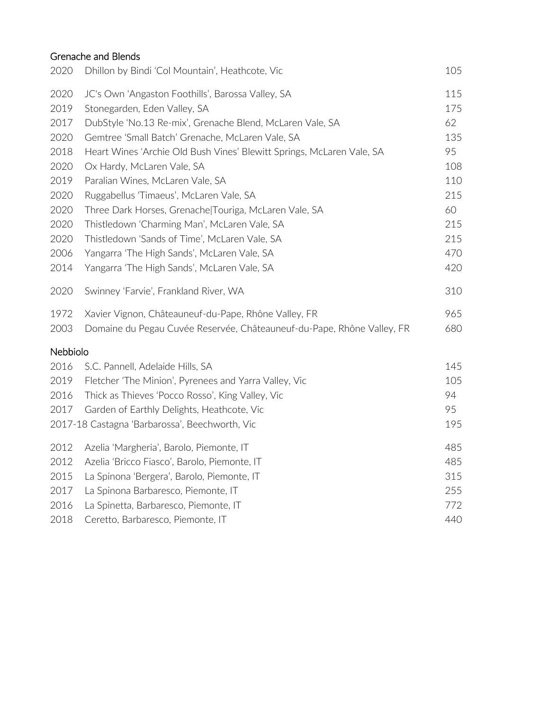# Grenache and Blends

| 2020     | Dhillon by Bindi 'Col Mountain', Heathcote, Vic                        | 105 |
|----------|------------------------------------------------------------------------|-----|
| 2020     | JC's Own 'Angaston Foothills', Barossa Valley, SA                      | 115 |
| 2019     | Stonegarden, Eden Valley, SA                                           | 175 |
| 2017     | DubStyle 'No.13 Re-mix', Grenache Blend, McLaren Vale, SA              | 62  |
| 2020     | Gemtree 'Small Batch' Grenache, McLaren Vale, SA                       | 135 |
| 2018     | Heart Wines 'Archie Old Bush Vines' Blewitt Springs, McLaren Vale, SA  | 95  |
| 2020     | Ox Hardy, McLaren Vale, SA                                             | 108 |
| 2019     | Paralian Wines, McLaren Vale, SA                                       | 110 |
| 2020     | Ruggabellus 'Timaeus', McLaren Vale, SA                                | 215 |
| 2020     | Three Dark Horses, Grenache Touriga, McLaren Vale, SA                  | 60  |
| 2020     | Thistledown 'Charming Man', McLaren Vale, SA                           | 215 |
| 2020     | Thistledown 'Sands of Time', McLaren Vale, SA                          | 215 |
| 2006     | Yangarra 'The High Sands', McLaren Vale, SA                            | 470 |
| 2014     | Yangarra 'The High Sands', McLaren Vale, SA                            | 420 |
| 2020     | Swinney 'Farvie', Frankland River, WA                                  | 310 |
| 1972     | Xavier Vignon, Châteauneuf-du-Pape, Rhône Valley, FR                   | 965 |
| 2003     | Domaine du Pegau Cuvée Reservée, Châteauneuf-du-Pape, Rhône Valley, FR | 680 |
| Nebbiolo |                                                                        |     |
| 2016     | S.C. Pannell, Adelaide Hills, SA                                       | 145 |
| 2019     | Fletcher 'The Minion', Pyrenees and Yarra Valley, Vic                  | 105 |
| 2016     | Thick as Thieves 'Pocco Rosso', King Valley, Vic                       | 94  |
| 2017     | Garden of Earthly Delights, Heathcote, Vic                             | 95  |
|          | 2017-18 Castagna 'Barbarossa', Beechworth, Vic                         | 195 |
| 2012     | Azelia 'Margheria', Barolo, Piemonte, IT                               | 485 |
| 2012     | Azelia 'Bricco Fiasco', Barolo, Piemonte, IT                           | 485 |
| 2015     | La Spinona 'Bergera', Barolo, Piemonte, IT                             | 315 |
| 2017     | La Spinona Barbaresco, Piemonte, IT                                    | 255 |
| 2016     | La Spinetta, Barbaresco, Piemonte, IT                                  | 772 |
| 2018     | Ceretto, Barbaresco, Piemonte, IT                                      | 440 |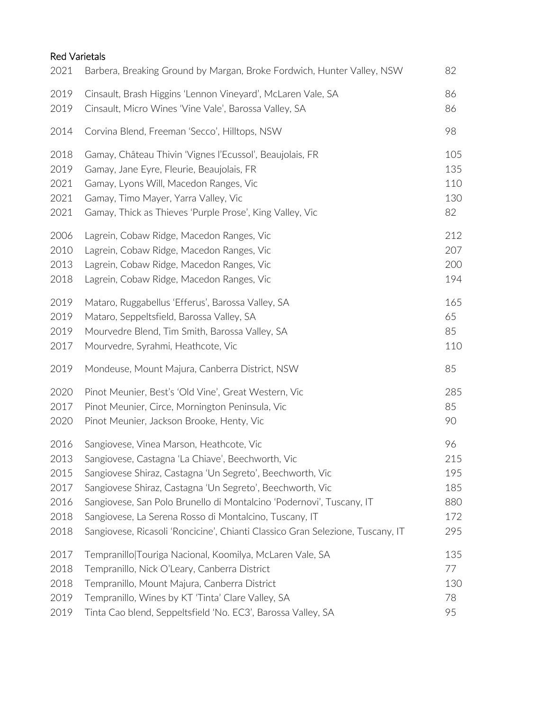## Red Varietals

| 2021 | Barbera, Breaking Ground by Margan, Broke Fordwich, Hunter Valley, NSW         | 82  |
|------|--------------------------------------------------------------------------------|-----|
| 2019 | Cinsault, Brash Higgins 'Lennon Vineyard', McLaren Vale, SA                    | 86  |
| 2019 | Cinsault, Micro Wines 'Vine Vale', Barossa Valley, SA                          | 86  |
| 2014 | Corvina Blend, Freeman 'Secco', Hilltops, NSW                                  | 98  |
| 2018 | Gamay, Château Thivin 'Vignes l'Ecussol', Beaujolais, FR                       | 105 |
| 2019 | Gamay, Jane Eyre, Fleurie, Beaujolais, FR                                      | 135 |
| 2021 | Gamay, Lyons Will, Macedon Ranges, Vic                                         | 110 |
| 2021 | Gamay, Timo Mayer, Yarra Valley, Vic                                           | 130 |
| 2021 | Gamay, Thick as Thieves 'Purple Prose', King Valley, Vic                       | 82  |
| 2006 | Lagrein, Cobaw Ridge, Macedon Ranges, Vic                                      | 212 |
| 2010 | Lagrein, Cobaw Ridge, Macedon Ranges, Vic                                      | 207 |
| 2013 | Lagrein, Cobaw Ridge, Macedon Ranges, Vic                                      | 200 |
| 2018 | Lagrein, Cobaw Ridge, Macedon Ranges, Vic                                      | 194 |
| 2019 | Mataro, Ruggabellus 'Efferus', Barossa Valley, SA                              | 165 |
| 2019 | Mataro, Seppeltsfield, Barossa Valley, SA                                      | 65  |
| 2019 | Mourvedre Blend, Tim Smith, Barossa Valley, SA                                 | 85  |
| 2017 | Mourvedre, Syrahmi, Heathcote, Vic                                             | 110 |
| 2019 | Mondeuse, Mount Majura, Canberra District, NSW                                 | 85  |
| 2020 | Pinot Meunier, Best's 'Old Vine', Great Western, Vic                           | 285 |
| 2017 | Pinot Meunier, Circe, Mornington Peninsula, Vic                                | 85  |
| 2020 | Pinot Meunier, Jackson Brooke, Henty, Vic                                      | 90  |
| 2016 | Sangiovese, Vinea Marson, Heathcote, Vic                                       | 96  |
| 2013 | Sangiovese, Castagna 'La Chiave', Beechworth, Vic                              | 215 |
| 2015 | Sangiovese Shiraz, Castagna 'Un Segreto', Beechworth, Vic                      | 195 |
| 2017 | Sangiovese Shiraz, Castagna 'Un Segreto', Beechworth, Vic                      | 185 |
| 2016 | Sangiovese, San Polo Brunello di Montalcino 'Podernovi', Tuscany, IT           | 880 |
| 2018 | Sangiovese, La Serena Rosso di Montalcino, Tuscany, IT                         | 172 |
| 2018 | Sangiovese, Ricasoli 'Roncicine', Chianti Classico Gran Selezione, Tuscany, IT | 295 |
| 2017 | Tempranillo Touriga Nacional, Koomilya, McLaren Vale, SA                       | 135 |
| 2018 | Tempranillo, Nick O'Leary, Canberra District                                   | 77  |
| 2018 | Tempranillo, Mount Majura, Canberra District                                   | 130 |
| 2019 | Tempranillo, Wines by KT 'Tinta' Clare Valley, SA                              | 78  |
| 2019 | Tinta Cao blend, Seppeltsfield 'No. EC3', Barossa Valley, SA                   | 95  |
|      |                                                                                |     |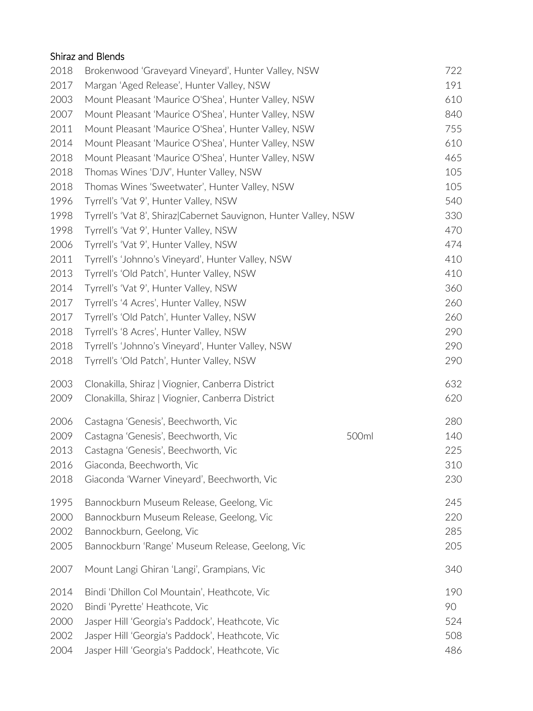# Shiraz and Blends

| 2018 | Brokenwood 'Graveyard Vineyard', Hunter Valley, NSW              |       | 722 |
|------|------------------------------------------------------------------|-------|-----|
| 2017 | Margan 'Aged Release', Hunter Valley, NSW                        |       | 191 |
| 2003 | Mount Pleasant 'Maurice O'Shea', Hunter Valley, NSW              |       | 610 |
| 2007 | Mount Pleasant 'Maurice O'Shea', Hunter Valley, NSW              |       | 840 |
| 2011 | Mount Pleasant 'Maurice O'Shea', Hunter Valley, NSW              |       | 755 |
| 2014 | Mount Pleasant 'Maurice O'Shea', Hunter Valley, NSW              |       | 610 |
| 2018 | Mount Pleasant 'Maurice O'Shea', Hunter Valley, NSW              |       | 465 |
| 2018 | Thomas Wines 'DJV', Hunter Valley, NSW                           |       | 105 |
| 2018 | Thomas Wines 'Sweetwater', Hunter Valley, NSW                    |       | 105 |
| 1996 | Tyrrell's 'Vat 9', Hunter Valley, NSW                            |       | 540 |
| 1998 | Tyrrell's 'Vat 8', Shiraz Cabernet Sauvignon, Hunter Valley, NSW |       | 330 |
| 1998 | Tyrrell's 'Vat 9', Hunter Valley, NSW                            |       | 470 |
| 2006 | Tyrrell's 'Vat 9', Hunter Valley, NSW                            |       | 474 |
| 2011 | Tyrrell's 'Johnno's Vineyard', Hunter Valley, NSW                |       | 410 |
| 2013 | Tyrrell's 'Old Patch', Hunter Valley, NSW                        |       | 410 |
| 2014 | Tyrrell's 'Vat 9', Hunter Valley, NSW                            |       | 360 |
| 2017 | Tyrrell's '4 Acres', Hunter Valley, NSW                          |       | 260 |
| 2017 | Tyrrell's 'Old Patch', Hunter Valley, NSW                        |       | 260 |
| 2018 | Tyrrell's '8 Acres', Hunter Valley, NSW                          |       | 290 |
| 2018 | Tyrrell's 'Johnno's Vineyard', Hunter Valley, NSW                |       | 290 |
| 2018 | Tyrrell's 'Old Patch', Hunter Valley, NSW                        |       | 290 |
| 2003 | Clonakilla, Shiraz   Viognier, Canberra District                 |       | 632 |
| 2009 | Clonakilla, Shiraz   Viognier, Canberra District                 |       | 620 |
| 2006 | Castagna 'Genesis', Beechworth, Vic                              |       | 280 |
| 2009 | Castagna 'Genesis', Beechworth, Vic                              | 500ml | 140 |
| 2013 | Castagna 'Genesis', Beechworth, Vic                              |       | 225 |
| 2016 | Giaconda, Beechworth, Vic                                        |       | 310 |
| 2018 | Giaconda 'Warner Vineyard', Beechworth, Vic                      |       | 230 |
| 1995 | Bannockburn Museum Release, Geelong, Vic                         |       | 245 |
| 2000 | Bannockburn Museum Release, Geelong, Vic                         |       | 220 |
| 2002 | Bannockburn, Geelong, Vic                                        |       | 285 |
| 2005 | Bannockburn 'Range' Museum Release, Geelong, Vic                 |       | 205 |
| 2007 | Mount Langi Ghiran 'Langi', Grampians, Vic                       |       | 340 |
| 2014 | Bindi 'Dhillon Col Mountain', Heathcote, Vic                     |       | 190 |
| 2020 | Bindi 'Pyrette' Heathcote, Vic                                   |       | 90  |
| 2000 | Jasper Hill 'Georgia's Paddock', Heathcote, Vic                  |       | 524 |
| 2002 | Jasper Hill 'Georgia's Paddock', Heathcote, Vic                  |       | 508 |
| 2004 | Jasper Hill 'Georgia's Paddock', Heathcote, Vic                  |       | 486 |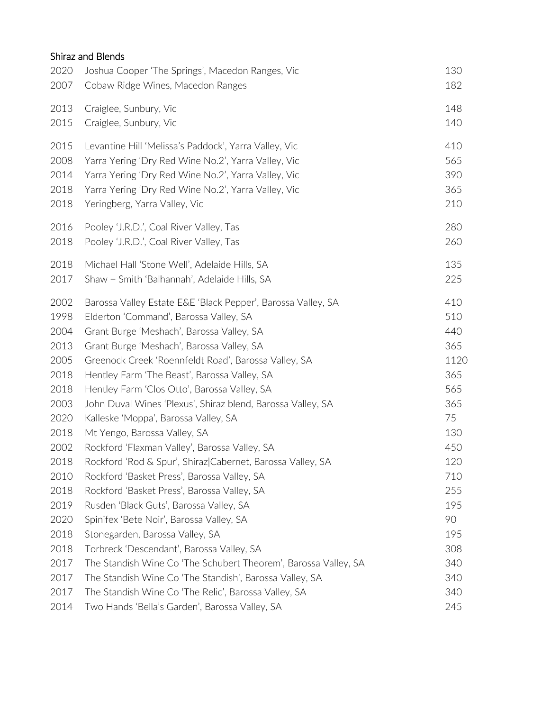# Shiraz and Blends

| 2020 | Joshua Cooper 'The Springs', Macedon Ranges, Vic                | 130  |
|------|-----------------------------------------------------------------|------|
| 2007 | Cobaw Ridge Wines, Macedon Ranges                               | 182  |
| 2013 | Craiglee, Sunbury, Vic                                          | 148  |
| 2015 | Craiglee, Sunbury, Vic                                          | 140  |
| 2015 | Levantine Hill 'Melissa's Paddock', Yarra Valley, Vic           | 410  |
| 2008 | Yarra Yering 'Dry Red Wine No.2', Yarra Valley, Vic             | 565  |
| 2014 | Yarra Yering 'Dry Red Wine No.2', Yarra Valley, Vic             | 390  |
| 2018 | Yarra Yering 'Dry Red Wine No.2', Yarra Valley, Vic             | 365  |
| 2018 | Yeringberg, Yarra Valley, Vic                                   | 210  |
| 2016 | Pooley 'J.R.D.', Coal River Valley, Tas                         | 280  |
| 2018 | Pooley 'J.R.D.', Coal River Valley, Tas                         | 260  |
| 2018 | Michael Hall 'Stone Well', Adelaide Hills, SA                   | 135  |
| 2017 | Shaw + Smith 'Balhannah', Adelaide Hills, SA                    | 225  |
| 2002 | Barossa Valley Estate E&E 'Black Pepper', Barossa Valley, SA    | 410  |
| 1998 | Elderton 'Command', Barossa Valley, SA                          | 510  |
| 2004 | Grant Burge 'Meshach', Barossa Valley, SA                       | 440  |
| 2013 | Grant Burge 'Meshach', Barossa Valley, SA                       | 365  |
| 2005 | Greenock Creek 'Roennfeldt Road', Barossa Valley, SA            | 1120 |
| 2018 | Hentley Farm 'The Beast', Barossa Valley, SA                    | 365  |
| 2018 | Hentley Farm 'Clos Otto', Barossa Valley, SA                    | 565  |
| 2003 | John Duval Wines 'Plexus', Shiraz blend, Barossa Valley, SA     | 365  |
| 2020 | Kalleske 'Moppa', Barossa Valley, SA                            | 75   |
| 2018 | Mt Yengo, Barossa Valley, SA                                    | 130  |
| 2002 | Rockford 'Flaxman Valley', Barossa Valley, SA                   | 450  |
| 2018 | Rockford 'Rod & Spur', Shiraz Cabernet, Barossa Valley, SA      | 120  |
| 2010 | Rockford 'Basket Press', Barossa Valley, SA                     | 710  |
| 2018 | Rockford 'Basket Press', Barossa Valley, SA                     | 255  |
| 2019 | Rusden 'Black Guts', Barossa Valley, SA                         | 195  |
| 2020 | Spinifex 'Bete Noir', Barossa Valley, SA                        | 90   |
| 2018 | Stonegarden, Barossa Valley, SA                                 | 195  |
| 2018 | Torbreck 'Descendant', Barossa Valley, SA                       | 308  |
| 2017 | The Standish Wine Co 'The Schubert Theorem', Barossa Valley, SA | 340  |
| 2017 | The Standish Wine Co 'The Standish', Barossa Valley, SA         | 340  |
| 2017 | The Standish Wine Co 'The Relic', Barossa Valley, SA            | 340  |
| 2014 | Two Hands 'Bella's Garden', Barossa Valley, SA                  | 245  |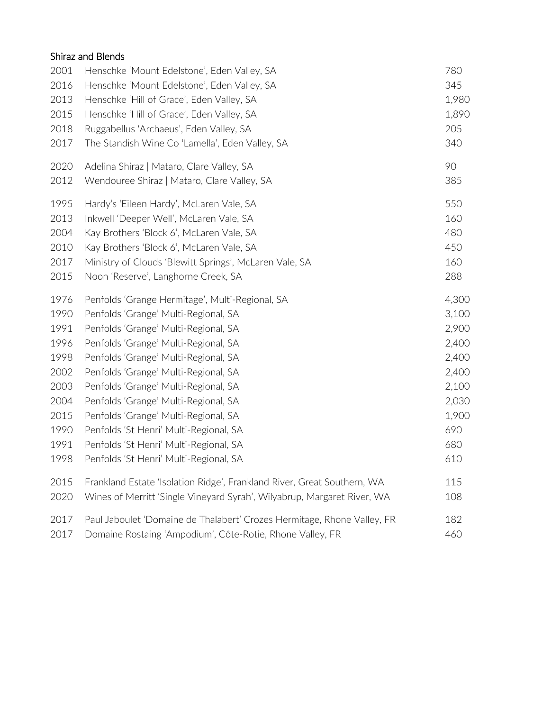# Shiraz and Blends

| 2001 | Henschke 'Mount Edelstone', Eden Valley, SA                             | 780   |
|------|-------------------------------------------------------------------------|-------|
| 2016 | Henschke 'Mount Edelstone', Eden Valley, SA                             | 345   |
| 2013 | Henschke 'Hill of Grace', Eden Valley, SA                               | 1,980 |
| 2015 | Henschke 'Hill of Grace', Eden Valley, SA                               | 1,890 |
| 2018 | Ruggabellus 'Archaeus', Eden Valley, SA                                 | 205   |
| 2017 | The Standish Wine Co 'Lamella', Eden Valley, SA                         | 340   |
| 2020 | Adelina Shiraz   Mataro, Clare Valley, SA                               | 90    |
| 2012 | Wendouree Shiraz   Mataro, Clare Valley, SA                             | 385   |
| 1995 | Hardy's 'Eileen Hardy', McLaren Vale, SA                                | 550   |
| 2013 | Inkwell 'Deeper Well', McLaren Vale, SA                                 | 160   |
| 2004 | Kay Brothers 'Block 6', McLaren Vale, SA                                | 480   |
| 2010 | Kay Brothers 'Block 6', McLaren Vale, SA                                | 450   |
| 2017 | Ministry of Clouds 'Blewitt Springs', McLaren Vale, SA                  | 160   |
| 2015 | Noon 'Reserve', Langhorne Creek, SA                                     | 288   |
| 1976 | Penfolds 'Grange Hermitage', Multi-Regional, SA                         | 4,300 |
| 1990 | Penfolds 'Grange' Multi-Regional, SA                                    | 3,100 |
| 1991 | Penfolds 'Grange' Multi-Regional, SA                                    | 2,900 |
| 1996 | Penfolds 'Grange' Multi-Regional, SA                                    | 2,400 |
| 1998 | Penfolds 'Grange' Multi-Regional, SA                                    | 2,400 |
| 2002 | Penfolds 'Grange' Multi-Regional, SA                                    | 2,400 |
| 2003 | Penfolds 'Grange' Multi-Regional, SA                                    | 2,100 |
| 2004 | Penfolds 'Grange' Multi-Regional, SA                                    | 2,030 |
| 2015 | Penfolds 'Grange' Multi-Regional, SA                                    | 1,900 |
| 1990 | Penfolds 'St Henri' Multi-Regional, SA                                  | 690   |
| 1991 | Penfolds 'St Henri' Multi-Regional, SA                                  | 680   |
| 1998 | Penfolds 'St Henri' Multi-Regional, SA                                  | 610   |
| 2015 | Frankland Estate 'Isolation Ridge', Frankland River, Great Southern, WA | 115   |
| 2020 | Wines of Merritt 'Single Vineyard Syrah', Wilyabrup, Margaret River, WA | 108   |
| 2017 | Paul Jaboulet 'Domaine de Thalabert' Crozes Hermitage, Rhone Valley, FR | 182   |
| 2017 | Domaine Rostaing 'Ampodium', Côte-Rotie, Rhone Valley, FR               | 460   |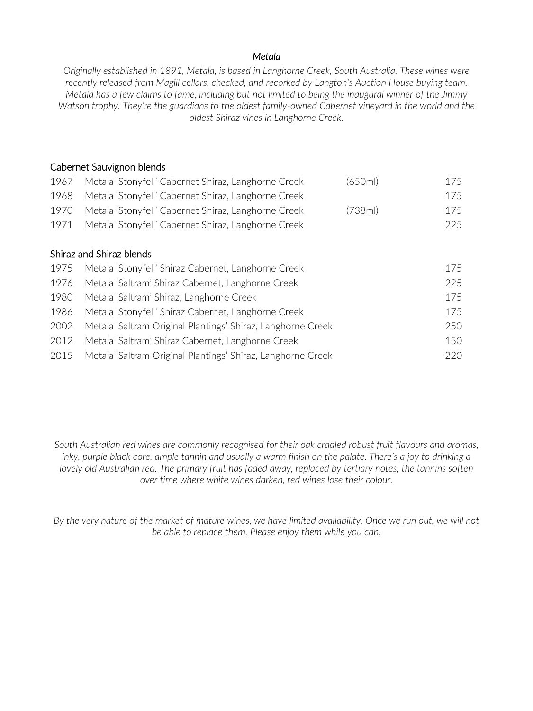#### *Metala*

*Originally established in 1891, Metala, is based in Langhorne Creek, South Australia. These wines were recently released from Magill cellars, checked, and recorked by Langton's Auction House buying team. Metala has a few claims to fame, including but not limited to being the inaugural winner of the Jimmy Watson trophy. They're the guardians to the oldest family-owned Cabernet vineyard in the world and the oldest Shiraz vines in Langhorne Creek.* 

### Cabernet Sauvignon blends

| 1967 | Metala 'Stonyfell' Cabernet Shiraz, Langhorne Creek         | (650ml) | 175 |
|------|-------------------------------------------------------------|---------|-----|
| 1968 | Metala 'Stonyfell' Cabernet Shiraz, Langhorne Creek         |         | 175 |
| 1970 | Metala 'Stonyfell' Cabernet Shiraz, Langhorne Creek         | (738ml) | 175 |
| 1971 | Metala 'Stonyfell' Cabernet Shiraz, Langhorne Creek         |         | 225 |
|      |                                                             |         |     |
|      | Shiraz and Shiraz blends                                    |         |     |
| 1975 | Metala 'Stonyfell' Shiraz Cabernet, Langhorne Creek         |         | 175 |
| 1976 | Metala 'Saltram' Shiraz Cabernet, Langhorne Creek           |         | 225 |
| 1980 | Metala 'Saltram' Shiraz, Langhorne Creek                    |         | 175 |
| 1986 | Metala 'Stonyfell' Shiraz Cabernet, Langhorne Creek         |         | 175 |
| 2002 | Metala 'Saltram Original Plantings' Shiraz, Langhorne Creek |         | 250 |
| 2012 | Metala 'Saltram' Shiraz Cabernet, Langhorne Creek           |         | 150 |
| 2015 | Metala 'Saltram Original Plantings' Shiraz, Langhorne Creek |         | 220 |

*South Australian red wines are commonly recognised for their oak cradled robust fruit flavours and aromas, inky, purple black core, ample tannin and usually a warm finish on the palate. There's a joy to drinking a lovely old Australian red. The primary fruit has faded away, replaced by tertiary notes, the tannins soften over time where white wines darken, red wines lose their colour.*

*By the very nature of the market of mature wines, we have limited availability. Once we run out, we will not be able to replace them. Please enjoy them while you can.*